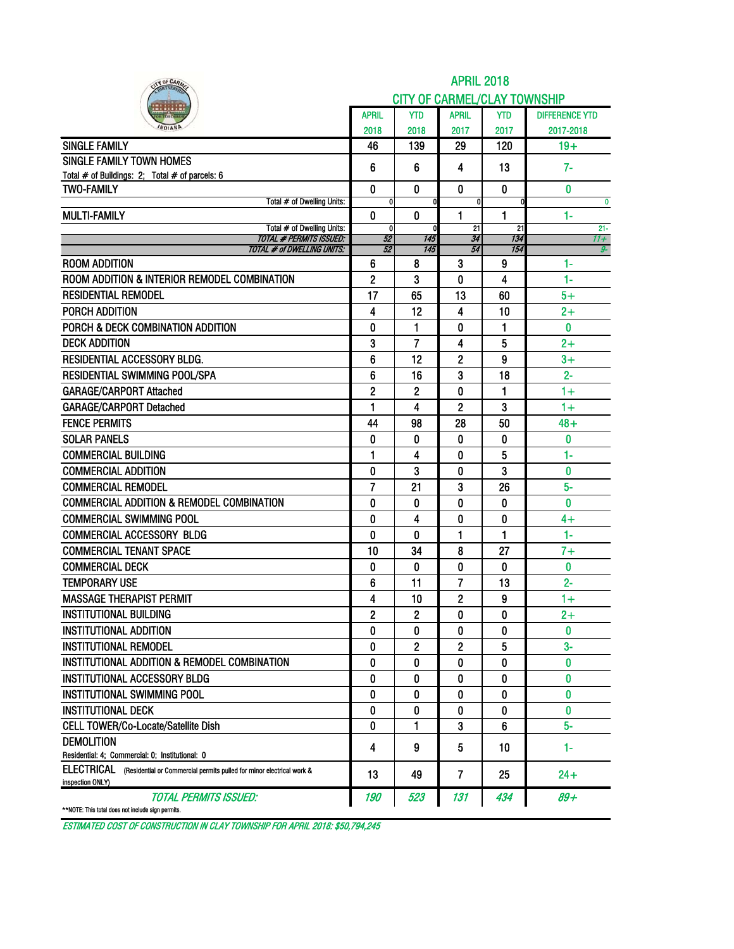| <b>SINGLE FAMILY</b><br>SINGLE FAMILY TOWN HOMES                                                     | April<br>2018<br>46<br>6<br>0<br>0 | <b>YTD</b><br>2018<br>139<br>6 | <b>CITY OF CARMEL/CLAY TOWNSHIP</b><br><b>APRIL</b><br>2017<br>29 | YTD<br>2017    | <b>DIFFERENCE YTD</b> |
|------------------------------------------------------------------------------------------------------|------------------------------------|--------------------------------|-------------------------------------------------------------------|----------------|-----------------------|
|                                                                                                      |                                    |                                |                                                                   |                |                       |
|                                                                                                      |                                    |                                |                                                                   |                |                       |
|                                                                                                      |                                    |                                |                                                                   |                | 2017-2018             |
|                                                                                                      |                                    |                                |                                                                   | 120            | $19+$                 |
|                                                                                                      |                                    |                                | 4                                                                 | 13             | $7-$                  |
| Total # of Buildings: 2; Total # of parcels: 6                                                       |                                    |                                |                                                                   |                |                       |
| <b>TWO-FAMILY</b>                                                                                    |                                    | 0                              | $\mathbf{0}$                                                      | $\mathbf{0}$   | $\bf{0}$              |
| Total # of Dwelling Units:<br><b>MULTI-FAMILY</b>                                                    | 0                                  | 0                              | 0<br>1                                                            | O<br>1         | $\mathbf{0}$<br>$1-$  |
| Total # of Dwelling Units:                                                                           | $\mathbf{0}$                       | O                              | 21                                                                | 21             | $21 -$                |
| <b>TOTAL # PERMITS ISSUED:</b>                                                                       | 52                                 | 145                            | 34                                                                | 134<br>154     | $11 +$                |
| TOTAL # of DWELLING UNITS:<br><b>ROOM ADDITION</b>                                                   | 52<br>6                            | 145<br>8                       | 54<br>3                                                           | 9              | 9-<br>$1 -$           |
| ROOM ADDITION & INTERIOR REMODEL COMBINATION                                                         |                                    | 3                              | 0                                                                 | 4              | $1-$                  |
| <b>RESIDENTIAL REMODEL</b>                                                                           | 2<br>17                            | 65                             | 13                                                                | 60             | $5+$                  |
| <b>PORCH ADDITION</b>                                                                                | 4                                  | 12                             | 4                                                                 | 10             | $2+$                  |
| PORCH & DECK COMBINATION ADDITION                                                                    | 0                                  |                                |                                                                   |                | 0                     |
| <b>DECK ADDITION</b>                                                                                 |                                    | 1<br>7                         | 0                                                                 | 1              |                       |
| RESIDENTIAL ACCESSORY BLDG.                                                                          | 3                                  | 12                             | 4                                                                 | 5              | $2+$                  |
| <b>RESIDENTIAL SWIMMING POOL/SPA</b>                                                                 | 6<br>6                             | 16                             | 2<br>3                                                            | 9<br>18        | $3+$<br>$2 -$         |
| <b>GARAGE/CARPORT Attached</b>                                                                       | $\overline{2}$                     | $\mathbf 2$                    | 0                                                                 | 1              | $1+$                  |
| <b>GARAGE/CARPORT Detached</b>                                                                       | 1                                  | 4                              | 2                                                                 | 3              | $1+$                  |
| <b>FENCE PERMITS</b>                                                                                 |                                    |                                |                                                                   |                |                       |
| <b>SOLAR PANELS</b>                                                                                  | 44<br>0                            | 98                             | 28<br>0                                                           | 50             | $48 +$<br>0           |
| <b>COMMERCIAL BUILDING</b>                                                                           | 1                                  | 0<br>4                         | 0                                                                 | 0<br>5         | $1 -$                 |
|                                                                                                      |                                    |                                |                                                                   |                | 0                     |
| <b>COMMERCIAL ADDITION</b><br><b>COMMERCIAL REMODEL</b>                                              | 0                                  | 3                              | 0                                                                 | 3              | $5-$                  |
| <b>COMMERCIAL ADDITION &amp; REMODEL COMBINATION</b>                                                 | 7<br>0                             | 21                             | 3                                                                 | 26<br>$\bf{0}$ | $\mathbf{0}$          |
| <b>COMMERCIAL SWIMMING POOL</b>                                                                      | 0                                  | 0<br>4                         | 0<br>0                                                            | 0              | $4+$                  |
| <b>COMMERCIAL ACCESSORY BLDG</b>                                                                     | 0                                  | 0                              | 1                                                                 | 1              | $1 -$                 |
| <b>COMMERCIAL TENANT SPACE</b>                                                                       | 10                                 | 34                             |                                                                   | 27             | $7+$                  |
| <b>COMMERCIAL DECK</b>                                                                               | 0                                  | 0                              | 8<br>0                                                            | $\mathbf{0}$   | 0                     |
| <b>TEMPORARY USE</b>                                                                                 | 6                                  | 11                             | 7                                                                 | 13             | $2 -$                 |
| <b>MASSAGE THERAPIST PERMIT</b>                                                                      | 4                                  | 10                             | 2                                                                 | 9              | $1+$                  |
| <b>INSTITUTIONAL BUILDING</b>                                                                        | 2                                  | 2                              | O                                                                 | 0              | $2+$                  |
| <b>INSTITUTIONAL ADDITION</b>                                                                        | 0                                  | 0                              | 0                                                                 | 0              | $\mathbf{0}$          |
| <b>INSTITUTIONAL REMODEL</b>                                                                         | 0                                  | 2                              | $\overline{c}$                                                    | 5              | $3-$                  |
| INSTITUTIONAL ADDITION & REMODEL COMBINATION                                                         | 0                                  | 0                              | 0                                                                 | 0              | 0                     |
| <b>INSTITUTIONAL ACCESSORY BLDG</b>                                                                  | 0                                  | 0                              | 0                                                                 | 0              | 0                     |
| <b>INSTITUTIONAL SWIMMING POOL</b>                                                                   | 0                                  | 0                              | 0                                                                 | 0              | 0                     |
| <b>INSTITUTIONAL DECK</b>                                                                            | 0                                  | 0                              | 0                                                                 | 0              | $\mathbf{0}$          |
| CELL TOWER/Co-Locate/Satellite Dish                                                                  | 0                                  | 1                              | 3                                                                 | 6              | 5-                    |
| <b>DEMOLITION</b>                                                                                    |                                    |                                |                                                                   |                |                       |
| Residential: 4; Commercial: 0; Institutional: 0                                                      | 4                                  | 9                              | 5                                                                 | 10             | 1-                    |
| ELECTRICAL (Residential or Commercial permits pulled for minor electrical work &<br>inspection ONLY) | 13                                 | 49                             | 7                                                                 | 25             | $24+$                 |
| <b>TOTAL PERMITS ISSUED:</b><br>**NOTE: This total does not include sign permits.                    | 190                                | 523                            | 131                                                               | 434            | $89+$                 |

ESTIMATED COST OF CONSTRUCTION IN CLAY TOWNSHIP FOR APRIL 2018: \$50,794,245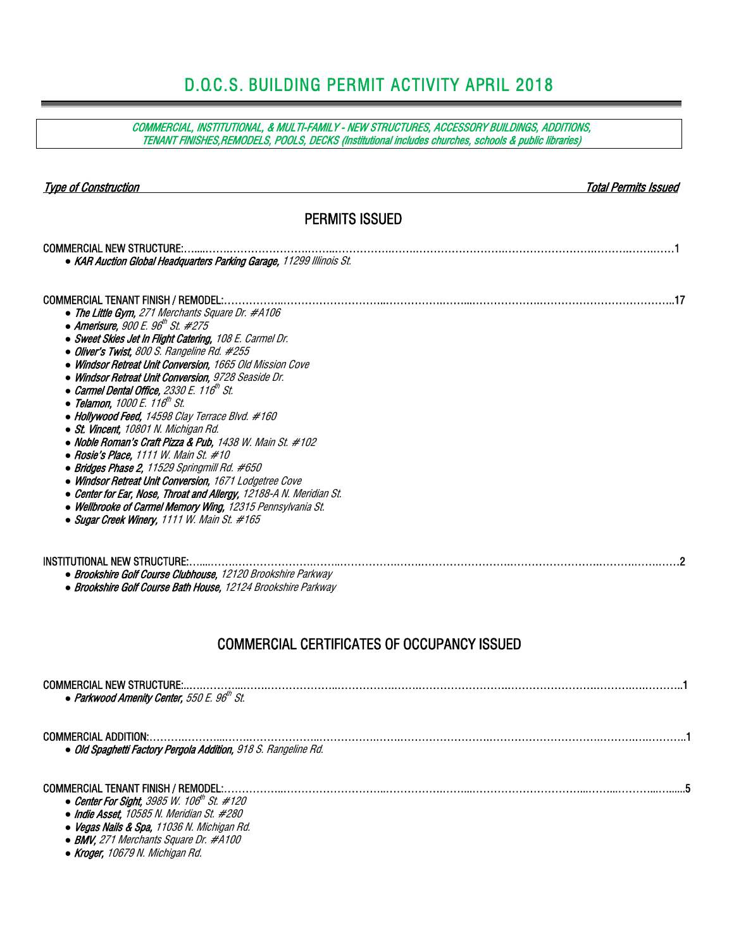# D.O.C.S. BUILDING PERMIT ACTIVITY APRIL 2018

COMMERCIAL, INSTITUTIONAL, & MULTI-FAMILY - NEW STRUCTURES, ACCESSORY BUILDINGS, ADDITIONS, TENANT FINISHES,REMODELS, POOLS, DECKS (Institutional includes churches, schools & public libraries)

| <b>Type of Construction</b>                                                                                                                                                                                                                                                                                                                                                                                                                                                                                                                                                                                                                                                                                                                                                                                                                                                                                                                                                                       | <b>Total Permits Issued</b> |
|---------------------------------------------------------------------------------------------------------------------------------------------------------------------------------------------------------------------------------------------------------------------------------------------------------------------------------------------------------------------------------------------------------------------------------------------------------------------------------------------------------------------------------------------------------------------------------------------------------------------------------------------------------------------------------------------------------------------------------------------------------------------------------------------------------------------------------------------------------------------------------------------------------------------------------------------------------------------------------------------------|-----------------------------|
| <b>PERMITS ISSUED</b>                                                                                                                                                                                                                                                                                                                                                                                                                                                                                                                                                                                                                                                                                                                                                                                                                                                                                                                                                                             |                             |
| • KAR Auction Global Headquarters Parking Garage, 11299 Illinois St.                                                                                                                                                                                                                                                                                                                                                                                                                                                                                                                                                                                                                                                                                                                                                                                                                                                                                                                              |                             |
| • The Little Gym, 271 Merchants Square Dr. #A106<br>• Amerisure, 900 E. 96 <sup>th</sup> St. #275<br>• Sweet Skies Jet In Flight Catering, 108 E. Carmel Dr.<br>• Oliver's Twist, 800 S. Rangeline Rd. #255<br>• Windsor Retreat Unit Conversion, 1665 Old Mission Cove<br>• Windsor Retreat Unit Conversion, 9728 Seaside Dr.<br>• Carmel Dental Office, 2330 E. 116 <sup>th</sup> St.<br>• Telamon, 1000 E. 116 <sup>th</sup> St.<br>• Hollywood Feed, 14598 Clay Terrace Blvd. #160<br>• St. Vincent, 10801 N. Michigan Rd.<br>• Noble Roman's Craft Pizza & Pub, 1438 W. Main St. #102<br>• Rosie's Place, 1111 W. Main St. #10<br>• Bridges Phase 2, 11529 Springmill Rd. #650<br>• Windsor Retreat Unit Conversion, 1671 Lodgetree Cove<br>• Center for Ear, Nose, Throat and Allergy, 12188-A N. Meridian St.<br>• Wellbrooke of Carmel Memory Wing, 12315 Pennsylvania St.<br>• Sugar Creek Winery, 1111 W. Main St. #165<br>• Brookshire Golf Course Clubhouse, 12120 Brookshire Parkway |                             |
| • Brookshire Golf Course Bath House, 12124 Brookshire Parkway<br><b>COMMERCIAL CERTIFICATES OF OCCUPANCY ISSUED</b>                                                                                                                                                                                                                                                                                                                                                                                                                                                                                                                                                                                                                                                                                                                                                                                                                                                                               |                             |
| • Parkwood Amenity Center, 550 E. $96th$ St.                                                                                                                                                                                                                                                                                                                                                                                                                                                                                                                                                                                                                                                                                                                                                                                                                                                                                                                                                      |                             |
| <b>COMMERCIAL ADDITION:</b><br>· Old Spaghetti Factory Pergola Addition, 918 S. Rangeline Rd.                                                                                                                                                                                                                                                                                                                                                                                                                                                                                                                                                                                                                                                                                                                                                                                                                                                                                                     |                             |
| Contag For Circlet 2005 $11/10$ dh Ct $\mu$ 120                                                                                                                                                                                                                                                                                                                                                                                                                                                                                                                                                                                                                                                                                                                                                                                                                                                                                                                                                   |                             |

- Center For Sight, 3985 W. 106<sup>th</sup> St. #120 *●* Indie Asset, 10585 N. Meridian St. #280
- 
- *●* Vegas Nails & Spa, 11036 N. Michigan Rd.
- *●* BMV, 271 Merchants Square Dr. #A100
- *●* Kroger, 10679 N. Michigan Rd.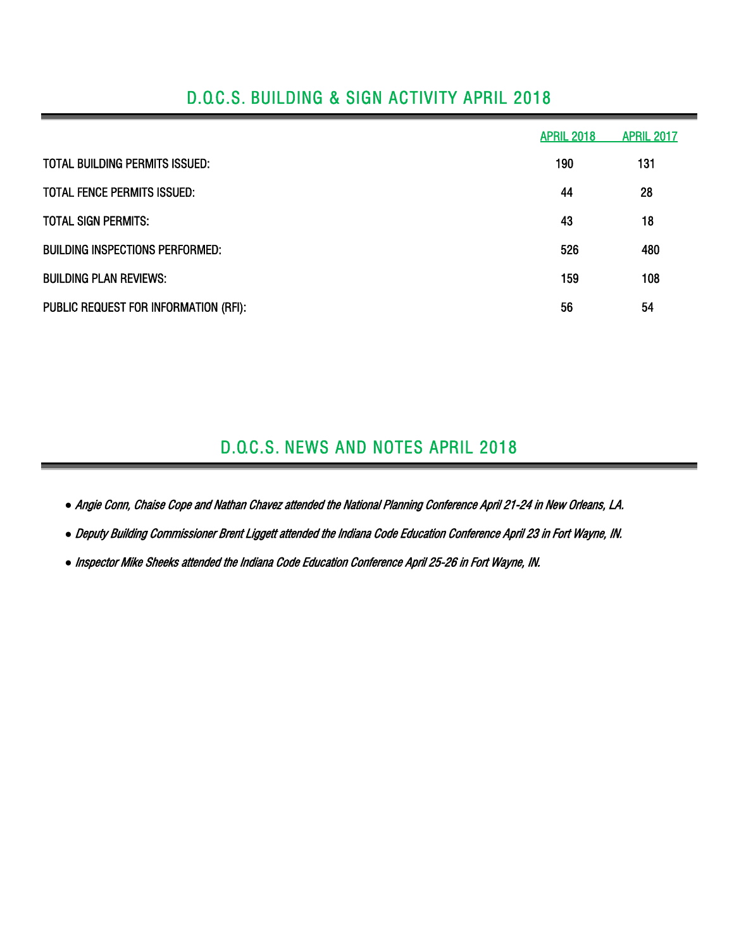## D.O.C.S. BUILDING & SIGN ACTIVITY APRIL 2018

|                                        | <b>APRIL 2018</b> | <b>APRIL 2017</b> |
|----------------------------------------|-------------------|-------------------|
| TOTAL BUILDING PERMITS ISSUED:         | 190               | 131               |
| <b>TOTAL FENCE PERMITS ISSUED:</b>     | 44                | 28                |
| <b>TOTAL SIGN PERMITS:</b>             | 43                | 18                |
| <b>BUILDING INSPECTIONS PERFORMED:</b> | 526               | 480               |
| <b>BUILDING PLAN REVIEWS:</b>          | 159               | 108               |
| PUBLIC REQUEST FOR INFORMATION (RFI):  | 56                | 54                |

## D.O.C.S. NEWS AND NOTES APRIL 2018

*●* Angie Conn, Chaise Cope and Nathan Chavez attended the National Planning Conference April 21-24 in New Orleans, LA.

*●* Deputy Building Commissioner Brent Liggett attended the Indiana Code Education Conference April 23 in Fort Wayne, IN.

*●* Inspector Mike Sheeks attended the Indiana Code Education Conference April 25-26 in Fort Wayne, IN.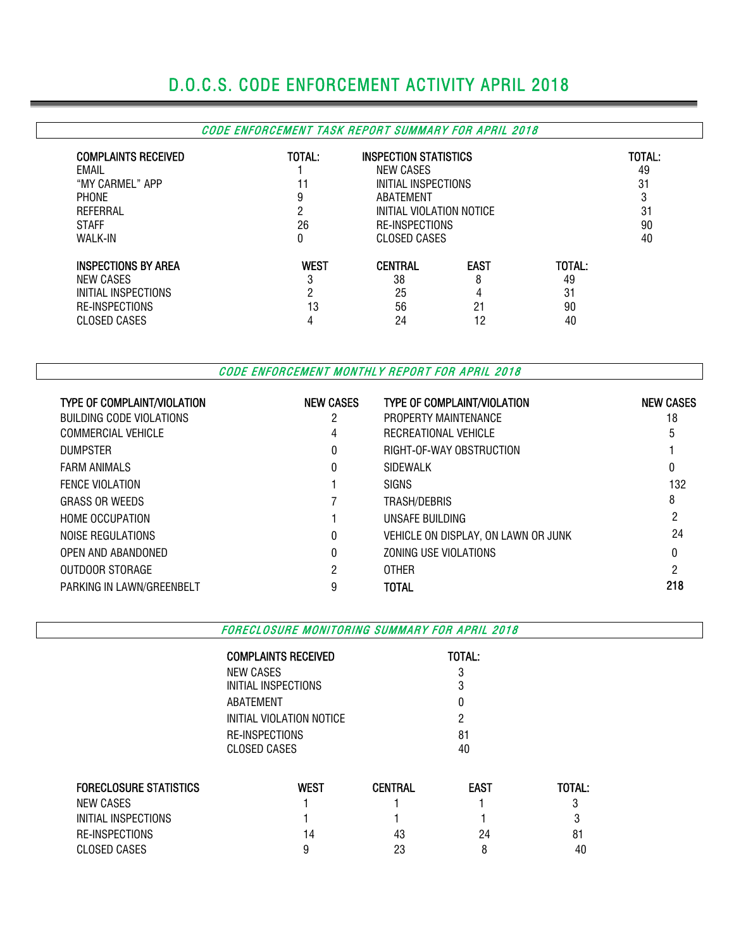# D.O.C.S. CODE ENFORCEMENT ACTIVITY APRIL 2018

## CODE ENFORCEMENT TASK REPORT SUMMARY FOR APRIL 2018

| <b>COMPLAINTS RECEIVED</b><br>EMAIL<br>"MY CARMEL" APP<br><b>PHONE</b><br>REFERRAL<br><b>STAFF</b><br>WALK-IN | TOTAL:<br>9<br>ŋ<br>26<br>0 | <b>INSPECTION STATISTICS</b><br>NEW CASES<br>INITIAL INSPECTIONS<br>ABATEMENT<br>INITIAL VIOLATION NOTICE<br>RE-INSPECTIONS<br>CLOSED CASES |                                   |                                | TOTAL:<br>49<br>31<br>Ű<br>31<br>90<br>40 |
|---------------------------------------------------------------------------------------------------------------|-----------------------------|---------------------------------------------------------------------------------------------------------------------------------------------|-----------------------------------|--------------------------------|-------------------------------------------|
| <b>INSPECTIONS BY AREA</b><br>NEW CASES<br>INITIAL INSPECTIONS<br><b>RE-INSPECTIONS</b><br>CLOSED CASES       | <b>WEST</b><br>3<br>13      | <b>CENTRAL</b><br>38<br>25<br>56<br>24                                                                                                      | <b>EAST</b><br>8<br>4<br>21<br>12 | TOTAL:<br>49<br>31<br>90<br>40 |                                           |

CODE ENFORCEMENT MONTHLY REPORT FOR APRIL 2018

| <b>TYPE OF COMPLAINT/VIOLATION</b> | <b>NEW CASES</b> | <b>TYPE OF COMPLAINT/VIOLATION</b>  | <b>NEW CASES</b> |
|------------------------------------|------------------|-------------------------------------|------------------|
| BUILDING CODE VIOLATIONS           | 2                | PROPERTY MAINTENANCE                | 18               |
| COMMERCIAL VEHICLE                 | 4                | RECREATIONAL VEHICLE                |                  |
| <b>DUMPSTER</b>                    | 0                | RIGHT-OF-WAY OBSTRUCTION            |                  |
| <b>FARM ANIMALS</b>                | 0                | SIDEWALK                            | 0                |
| <b>FENCE VIOLATION</b>             |                  | SIGNS                               | 132              |
| <b>GRASS OR WEEDS</b>              |                  | TRASH/DEBRIS                        | 8                |
| <b>HOME OCCUPATION</b>             |                  | UNSAFE BUILDING                     | 2                |
| NOISE REGULATIONS                  | 0                | VEHICLE ON DISPLAY, ON LAWN OR JUNK | 24               |
| OPEN AND ABANDONED                 | 0                | ZONING USE VIOLATIONS               |                  |
| OUTDOOR STORAGE                    | 2                | <b>OTHER</b>                        | 2                |
| PARKING IN LAWN/GREENBELT          | 9                | TOTAL                               | 218              |

FORECLOSURE MONITORING SUMMARY FOR APRIL 2018

| <b>COMPLAINTS RECEIVED</b>              | <b>TOTAL:</b> |
|-----------------------------------------|---------------|
| <b>NEW CASES</b><br>INITIAL INSPECTIONS | 3<br>3        |
| ABATFMFNT                               | 0             |
| INITIAL VIOLATION NOTICE                | 2             |
| RE-INSPECTIONS                          | 81            |
| <b>CLOSED CASES</b>                     | 40            |

| <b>FORECLOSURE STATISTICS</b> | <b>WEST</b> | CENTRAL | <b>EAST</b> | TOTAL: |
|-------------------------------|-------------|---------|-------------|--------|
| NEW CASES                     |             |         |             |        |
| INITIAL INSPECTIONS           |             |         |             |        |
| RE-INSPECTIONS                | 14          | 43      | 24          | 81     |
| CLOSED CASES                  |             | 23      |             | 40     |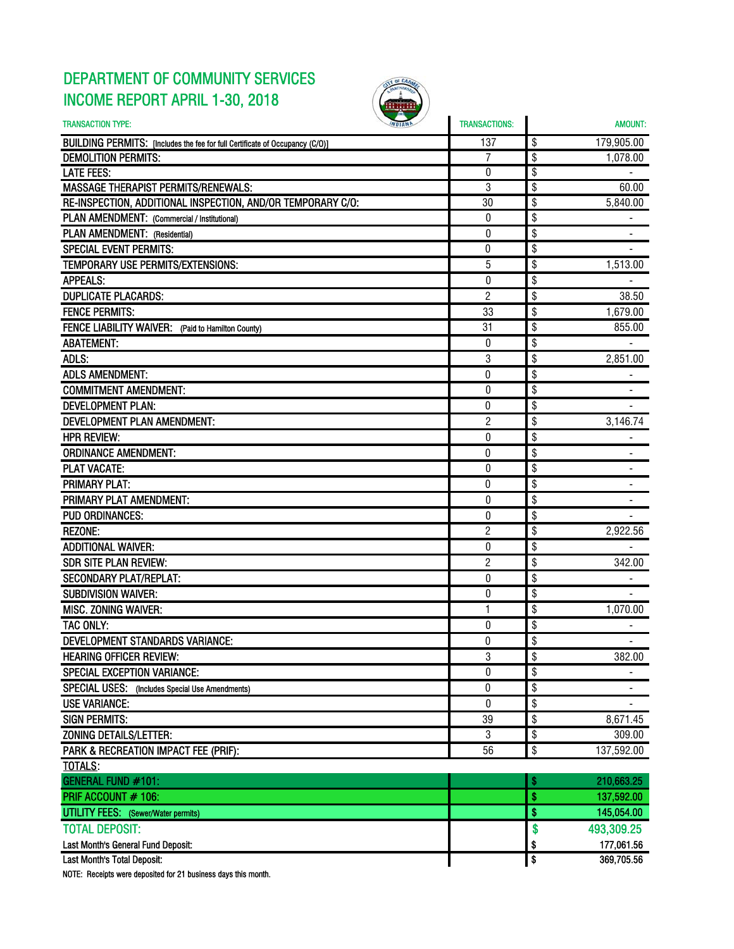## DEPARTMENT OF COMMUNITY SERVICES INCOME REPORT APRIL 1-30, 2018



| <b>TRANSACTION TYPE:</b>                                                     | <b>TRANSACTIONS:</b> | <b>AMOUNT:</b>                     |
|------------------------------------------------------------------------------|----------------------|------------------------------------|
| BUILDING PERMITS: [Includes the fee for full Certificate of Occupancy (C/O)] | 137                  | 179,905.00<br>\$                   |
| <b>DEMOLITION PERMITS:</b>                                                   | 7                    | \$<br>1,078.00                     |
| <b>LATE FEES:</b>                                                            | $\boldsymbol{0}$     | \$                                 |
| <b>MASSAGE THERAPIST PERMITS/RENEWALS:</b>                                   | 3                    | \$<br>60.00                        |
| RE-INSPECTION, ADDITIONAL INSPECTION, AND/OR TEMPORARY C/O:                  | 30                   | \$<br>5,840.00                     |
| PLAN AMENDMENT: (Commercial / Institutional)                                 | 0                    | \$                                 |
| PLAN AMENDMENT: (Residential)                                                | 0                    | \$                                 |
| <b>SPECIAL EVENT PERMITS:</b>                                                | 0                    | \$                                 |
| <b>TEMPORARY USE PERMITS/EXTENSIONS:</b>                                     | 5                    | \$<br>1,513.00                     |
| <b>APPEALS:</b>                                                              | $\theta$             | \$                                 |
| <b>DUPLICATE PLACARDS:</b>                                                   | $\overline{c}$       | \$<br>38.50                        |
| <b>FENCE PERMITS:</b>                                                        | 33                   | \$<br>1,679.00                     |
| FENCE LIABILITY WAIVER: (Paid to Hamilton County)                            | 31                   | \$<br>855.00                       |
| <b>ABATEMENT:</b>                                                            | 0                    | \$                                 |
| ADLS:                                                                        | 3                    | \$<br>2,851.00                     |
| <b>ADLS AMENDMENT:</b>                                                       | 0                    | \$                                 |
| <b>COMMITMENT AMENDMENT:</b>                                                 | $\bf{0}$             | \$                                 |
| <b>DEVELOPMENT PLAN:</b>                                                     | 0                    | \$                                 |
| DEVELOPMENT PLAN AMENDMENT:                                                  | 2                    | \$<br>3,146.74                     |
| <b>HPR REVIEW:</b>                                                           | 0                    | \$                                 |
| <b>ORDINANCE AMENDMENT:</b>                                                  | 0                    | \$                                 |
| <b>PLAT VACATE:</b>                                                          | $\boldsymbol{0}$     | \$                                 |
| <b>PRIMARY PLAT:</b>                                                         | 0                    | \$                                 |
| PRIMARY PLAT AMENDMENT:                                                      | $\boldsymbol{0}$     | \$                                 |
| <b>PUD ORDINANCES:</b>                                                       | 0                    | \$                                 |
| <b>REZONE:</b>                                                               | $\overline{c}$       | \$<br>2,922.56                     |
| <b>ADDITIONAL WAIVER:</b>                                                    | 0                    | \$                                 |
| <b>SDR SITE PLAN REVIEW:</b>                                                 | $\overline{c}$       | \$<br>342.00                       |
| <b>SECONDARY PLAT/REPLAT:</b>                                                | $\pmb{0}$            | \$                                 |
| <b>SUBDIVISION WAIVER:</b>                                                   | 0                    | \$                                 |
| <b>MISC. ZONING WAIVER:</b>                                                  | 1                    | \$<br>1,070.00                     |
| TAC ONLY:                                                                    | 0                    | \$                                 |
| DEVELOPMENT STANDARDS VARIANCE:                                              | 0                    | \$                                 |
| <b>HEARING OFFICER REVIEW:</b>                                               | 3                    | \$<br>382.00                       |
| <b>SPECIAL EXCEPTION VARIANCE:</b>                                           | 0                    | \$                                 |
| SPECIAL USES: (Includes Special Use Amendments)                              | 0                    | \$<br>٠                            |
| <b>USE VARIANCE:</b>                                                         | 0                    | \$                                 |
| <b>SIGN PERMITS:</b>                                                         | 39                   | \$<br>8,671.45                     |
| <b>ZONING DETAILS/LETTER:</b>                                                | 3                    | \$<br>309.00                       |
| PARK & RECREATION IMPACT FEE (PRIF):                                         | 56                   | \$<br>137,592.00                   |
| <b>TOTALS:</b>                                                               |                      |                                    |
| GENERAL FUND #101:                                                           |                      | 210,663.25<br>\$                   |
| PRIF ACCOUNT # 106:                                                          |                      | \$<br>137,592.00                   |
| UTILITY FEES: (Sewer/Water permits)                                          |                      | \$<br>145,054.00                   |
| <b>TOTAL DEPOSIT:</b>                                                        |                      | \$<br>493,309.25                   |
| Last Month's General Fund Deposit:                                           |                      | \$<br>177,061.56                   |
| Last Month's Total Deposit:                                                  |                      | $\overline{\bullet}$<br>369,705.56 |

NOTE: Receipts were deposited for 21 business days this month.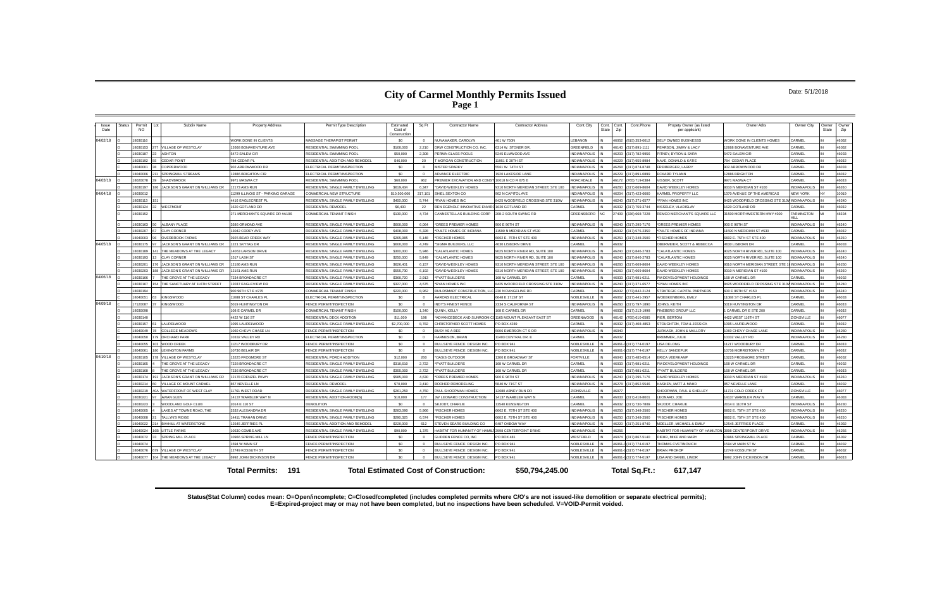#### Date: 5/1/2018

**Status(Stat Column) codes mean: O=Open/incomplete; C=Closed/completed (includes completed permits where C/O's are not issued-like demolition or separate electrical permits); E=Expired-project may or may not have been completed, but no inspections have been scheduled. V=VOID-Permit voided.**

| Issue<br>Date | Status | Permit<br>Subdiv Name<br>NO.                    | <b>Property Address</b>                | Permit Type Description            | Estimated<br>Cost of<br>Constructio | Sq Ft          | <b>Contractor Name</b>                          | <b>Contractor Address</b>           | Cont.City           | Cont.<br><b>State</b> | Cont.Phone<br>Cont.<br>Zip     | Propety Owner (as listed<br>per applicant)                     | Owner Adrs                       | Owner City                 | Owner<br>State | Owner<br>Zip   |
|---------------|--------|-------------------------------------------------|----------------------------------------|------------------------------------|-------------------------------------|----------------|-------------------------------------------------|-------------------------------------|---------------------|-----------------------|--------------------------------|----------------------------------------------------------------|----------------------------------|----------------------------|----------------|----------------|
| 04/02/18      |        | 8030116                                         | WORK DONE IN CLIENTS                   | MASSAGE THERAPIST PERMIT           | \$0                                 | $\Omega$       | NI INAMAKER CAROLYN                             | 401 W 750N                          | <b>EBANON</b>       |                       | 46052<br>815) 353-0012         | <b>ELF OWNED BUSINESSS</b>                                     | WORK DONE IN CLIENTS HOMES       | CARMEL                     |                | 46032          |
|               |        | 8030153<br>VILLAGE OF WESTCLAY                  | 12668 BONAVENTURE AVE                  | RESIDENTIAL SWIMMING POOL          | \$100,000                           | 2,210          | DRW CONSTRUCTION CO. INC.                       | 6314 W. STONER DR                   | <b>SREENFIELD</b>   |                       | (317) 891-1111<br>16140        | EARSON, JIMMY & LACY                                           | 12668 BONAVENTURE AVE            | CARMEL                     |                | 46032          |
|               |        | 8030187<br>ASHTON                               | 5472 SALEM CIR                         | RESIDENTIAL SWIMMING POOL          | \$50,000                            | 2.308          | PERMA-GLASS POOLS                               | 5245 ELMWOOD AVE                    | NDIANAPOLIS         |                       | 317) 782-9956<br><b>8203</b>   | <b>ITNEY, BYRON &amp; SARA</b>                                 | 5472 SALEM CIR                   | CARMEL                     |                | 16033          |
|               |        | <b>CEDAR POINT</b><br>8030192                   | 784 CEDAR PL                           | RESIDENTIAL ADDITION AND REMODEL   | \$46,000                            | 20             | MORGAN CONSTRUCTION                             | 11951 E 30TH ST                     | <b>NDIANAPOLIS</b>  |                       | (317) 955-8984<br>16229        | <b>VAVE, DONALD &amp; KATIE</b>                                | 784 CEDAR PLACI                  | CARMEL                     |                | 46032          |
|               |        | COPPERWOOD<br>8040001                           | 902 ARROWWOOD DR                       | ELECTRICAL PERMIT/INSPECTION       | \$0                                 | $\overline{0}$ | <b>MISTER SPARKY</b>                            | 5561 W. 74TH ST                     | <b>INDIANAPOLIS</b> |                       | 83681<br>(317) 874-8748        | REIBERGER, LARRY                                               | 902 ARROWWOOD DR                 | CARMEL                     |                | 46033          |
|               |        | <b>SPRINGMILL STREAMS</b><br>8040006            | 12886 BRIGHTON CIR                     | ELECTRICAL PERMIT/INSPECTION       | \$0                                 | $\Omega$       | ADVANCE ELECTRIC                                | 1920 LAKESIDE LANE                  | NDIANAPOLIS         |                       | (317) 891-0899<br>16229        | <b>CKARD TYLANN</b>                                            | <b>12886 BRIGHTON</b>            | CARMEL                     |                | 46032          |
| 04/03/18      |        | 8020078<br>SHADYBROOK                           | 9971 MASWA CT                          | RESIDENTIAL SWIMMING POOL          | \$60,000                            | 962            | PREMIER EXCAVATION AND CONST 10018 N CO R 675 E |                                     | OACHDALE            |                       | (765) 719-0384<br>6172         | <b>ISSER, SCOTT</b>                                            | 9971 MASWA CT                    | CARMEL                     |                | 16033          |
|               |        | 3030197<br><b>CKSON'S GRANT ON WILLIAMS CR</b>  | <b>12173 AMS RUN</b>                   | RESIDENTIAL SINGLE FAMILY DWELLING | \$619,434                           | 6.347          | DAVID WEEKLEY HOMES                             | 310 NORTH MERIDIAN STREET, STE 100  | NDIANAPOLIS         |                       | 317) 669-8604                  | AVID WEEKLEY HOMES                                             | 3310 N MERIDIAN ST #100          | <b>INDIANAPOLIS</b>        |                | 6260           |
| 04/04/18      |        | 8030012                                         | 11299 ILLINOIS ST - PARKING GARAGE     | COMMERCIAL NEW STRUCTURE           | \$10,500,000                        | 217,101        | SHIFI SEXTON CO                                 | 902 N CAPITOL AV                    | NDIANAPOLIS         |                       | 317) 423-6000<br>16204         | ARMEL PROPERTY LLC                                             | 1370 AVENUE OF THE AMERICAS      | NFW YORK                   |                | 10019          |
|               |        | 8030113                                         | 4416 EAGLECREST PL                     | RESIDENTIAL SINGLE FAMILY DWELLING | \$400,000                           | 5.744          | *RYAN HOMES INC                                 | 8425 WOODFIELD CROSSING STE 310W    | NDIANAPOLIS         |                       | (317) 371-6577<br>16240        | <b>RYAN HOMES INC</b>                                          | 8425 WOODFIELD CROSSING STE 310  | <b>INDIANAPOLIS</b>        |                | 46240          |
|               |        | WESTMONT<br>8030124<br>32                       | 1620 GOTI AND DR                       | RESIDENTIAL REMODEL                | \$6,400                             | 22             | BEN EGENOLF INNOVATIVE ENVIRO                   | 1620 GOTLAND DR                     | ARMEL:              |                       | (317) 759-3744<br>16032        | (ISSELEV, VLADISLAV                                            | 1620 GOTLAND DR                  | CARMEL                     |                | 46032          |
|               |        | 8030152                                         | 271 MERCHANTS SQUARE DR #A106          | COMMERCIAL TENANT FINISH           | \$130,000                           | 4,734          | ANNESTELLAS BUILDING CORP                       | 208-2 SOUTH SWING RD                | GREENSBORO          | NC.                   | 7409<br>(336) 668-7228         | EMCO MERCHANT'S SQUARE LLC                                     | 1500 MORTHWESTERN HWY #300       | <b>FARMINGTON</b><br>HIL L |                | 18334          |
|               |        | <b>ALBANY PLACE</b><br>8030163<br>50            | 3586 ORMOND AVE                        | RESIDENTIAL SINGLE FAMILY DWELLING | \$600,000                           | 6.064          | *DREES PREMIER HOMES                            | 900 E 96TH ST                       | <b>NDIANAPOLIS</b>  |                       | 16240<br>(317) 295-7176        | DREES PREMIER HOMES                                            | 900 E 96TH ST                    | <b>INDIANAPOLIS</b>        |                | 16240          |
|               |        | LAY CORNER<br>8030207                           | 13042 COREY AVE                        | RESIDENTIAL SINGLE FAMILY DWELLING | \$408,000                           | 5.328          | PULTE HOMES OF INDIANA                          | 1590 N MERIDIAN ST #530             | <b>CARMEL</b>       |                       | (317) 575-2350<br>6032         | PULTE HOMES OF INDIANA                                         | 11590 N MERIDIAN ST #530         | CARMEL                     |                | 46032          |
|               |        | 3040003<br><b>VERBROOK FARMS</b>                | 3925 BEAR CREEK WAY                    | RESIDENTIAL SINGLE FAMILY DWELLING | \$265.985                           | 5.148          | <b>FISCHER HOMES</b>                            | 602 E. 75TH ST STE 400              | <b>NDIANAPOLIS</b>  |                       | (317) 348-2500<br>6250         | <b>FISCHER HOMES</b>                                           | 6602 E. 75TH ST STE 400          | <b>INDIANAPOLIS</b>        |                | 16250          |
| 04/05/18      |        | 3030175<br>ACKSON'S GRANT ON WILLIAMS CR        | 1221 SKYTAG DR                         | RESIDENTIAL SINGLE FAMILY DWELLING | \$600,000                           | 4.749          | SIGMA BUILDERS, LLC                             | 4630 LISBORN DRIVE                  | ARMEI               |                       |                                | BERMEIER, SCOTT & REBECCA                                      | 4630 LISBORN DR                  | CARMEL                     |                | 16033          |
|               |        | 8030189<br>THE MEADOWS AT THE LEGACY            | 14063 LARSON DRIVE                     | RESIDENTIAL SINGLE FAMILY DWELLING | \$300,000                           | 5.946          | *CALATLANTIC HOMES                              | 025 NORTH RIVER RD, SUITE 100       | <b>NDIANAPOLIS</b>  |                       | 16240<br>(317) 846-2783        | CALATLANTIC HOMES                                              | 0025 NORTH RIVER RD, SUITE 100   | <b>INDIANAPOLIS</b>        |                | 46240          |
|               |        | 8030193<br><b>I AY CORNER</b>                   | 1517   ASH ST                          | RESIDENTIAL SINGLE FAMILY DWELLING | \$250,000                           | 5.849          | *CALATI ANTIC HOMES                             | 025 NORTH RIVER RD SUITE 100        | NDIANAPOLIS         |                       | (317) 846-2783<br>16240        | CALATLANTIC HOMES                                              | 9025 NORTH RIVER RD SUITE 100    | <b>INDIANAPOLIS</b>        |                | 16240          |
|               |        | <b>ACKSON'S GRANT ON WILLIAMS CR</b><br>8030201 | 12186 AMS RUN                          | RESIDENTIAL SINGLE FAMILY DWELLING | \$626,401                           | 6.157          | DAVID WEEKLEY HOMES                             | 310 NORTH MERIDIAN STREET, STE 100  | <b>JDIANAPOLIS</b>  |                       | 317) 669-8604<br>6260          | AVID WEEKLEY HOMES                                             | 310 NORTH MERIDIAN STREET, STE   | <b>INDIANAPOLIS</b>        |                | 16260          |
|               |        | ACKSON'S GRANT ON WILLIAMS CR<br>8030201        | <b>12161 AMS RUN</b>                   | RESIDENTIAL SINGLE FAMILY DWELLING | \$555,730                           | 6,192          | *DAVID WEEKLEY HOMES                            | 9310 NORTH MERIDIAN STREET, STE 100 | NDIANAPOLIS         |                       | (317) 669-8604<br>03601        | AVID WEEKLEY HOMES                                             | 9310 N MERIDIAN ST #100          | <b>INDIANAPOLIS</b>        |                | 46260          |
| 04/06/18      |        | 8030166<br>HE GROVE AT THE LEGACY               | 7234 BROADACRE CT                      | RESIDENTIAL SINGLE FAMILY DWELLING | \$360,720                           | 2.913          | *PYATT BUILDERS                                 | 168 W CARMEL DR                     | <b>ARMEL</b>        |                       | <b>EE031</b><br>(317) 981-0211 | M DEVELOPMENT HOLDINGS                                         | 168 W CARMEL DR                  | CARMEL                     |                | 46032          |
|               |        | HE SANCTUARY AT 116TH STREET<br>8030167         | 12037 EAGLEVIEW DR                     | RESIDENTIAL SINGLE FAMILY DWELLING | \$327,000                           | 4,675          | *RYAN HOMES INC                                 | 8425 WOODFIELD CROSSING STE 310W    | NDIANAPOLIS         |                       | (317) 371-6577<br>16240        | <b>RYAN HOMES INC.</b>                                         | 8425 WOODFIELD CROSSING STE 310\ | <b>INDIANAPOLIS</b>        |                | 46240          |
|               |        | 8030194                                         | 900 96TH ST E #275                     | COMMERCIAL TENANT FINISH           | \$220,000                           | 8.962          | BUILDSMART CONSTRUCTION. LLC 230 N RANGELINE RD |                                     | <b>ARMEL</b>        |                       | 773) 842-2124<br>6032          | <b>TRATEGIC CAPITAL PARTNERS</b>                               | 600 E 96TH ST #150               | <b>INDIANAPOLIS</b>        |                | 16240          |
|               |        | 8040051<br>(INGSWOOD                            | 11088 ST CHARLES PI                    | ELECTRICAL PERMIT/INSPECTION       | \$0                                 |                | ARONS ELECTRICAL                                | 6648 E 171ST ST                     | <b>VOBLESVILLE</b>  |                       | (317) 441-2957<br>6062         | <b>/OEBKENBERG, EMILY</b>                                      | 1088 ST CHARLES PI               | CARMEL                     |                | 16033          |
| 04/09/18      |        | 7120087<br><b>INGSWOOD</b>                      | 5019 HUNTINGTON DF                     | <b>FENCE PERMIT/INSPECTION</b>     | \$0                                 | $\Omega$       | <b>INDY'S FINEST FENCE</b>                      | 2334 S CALIFORNIA ST                | INDIANAPOLIS        |                       | (317) 797-1890<br>03601        | OHNS KEITH                                                     | 5019 HUNTINGTON DR               | CARMEL                     |                | 46033          |
|               |        | 8030098                                         | 108 E CARMEL DR                        | COMMERCIAL TENANT FINISH           | \$100,000                           | 1,240          | QUINN, KELLY                                    | 108 E CARMEL DR                     | <b>ARMEL</b>        |                       | (317) 213-1998<br>6032         | INEBERG GROUP LLC                                              | CARMEL DR E STE 200              | CARMEL                     |                | 46032          |
|               |        | 8030140                                         | 4422 W 116 ST                          | RESIDENTIAL DECK ADDITION          | \$11,000                            | 198            | ADVANCEDECK AND SUNROOM CO                      | 1165 MOUNT PLEASANT EAST ST         | <b>GREENWOOD</b>    |                       | 765) 610-0585<br>6142          | <b>IFR. BERTON</b>                                             | 4422 WEST 116TH ST               | ZIONSVILLE                 |                | 46077          |
|               |        | 8030157<br><b>AURELWOOD</b>                     | 1095 LAURELWOOD                        | RESIDENTIAL SINGLE FAMILY DWELLING | \$2,700,000                         | 8.782          | CHRISTOPHER SCOTT HOMES                         | PO BOX 4289                         | CARMEL              |                       | 317) 408-4853                  | TOUGHTON, TOM & JESSICA                                        | 1095 LAURELWOOD                  | CARMEL                     |                | 16032          |
|               |        | COLLEGE MEADOWS<br>8040049                      | 1060 CHEVY CHASE LN                    | <b>FENCE PERMIT/INSPECTION</b>     | \$0                                 | $\Omega$       | <b>BUSY AS A BEE</b>                            | 5006 EMERSON CTS DR                 | <b>INDIANAPOLIS</b> |                       | 16040                          | URKASH, JOHN & MALLORY                                         | 1060 CHEVY CHASE LANE            | <b>INDIANAPOLIS</b>        |                | 46280          |
|               |        | 8040050<br>ORCHARD PARK                         | 10332 VALLEY RD                        | ELECTRICAL PERMIT/INSPECTION       | \$0                                 | $\Omega$       | HARMESON, BRIAN                                 | 1403 CENTRAL DR. E                  | CARMEL              |                       | 16032                          | <b>BREMMER, JULIE</b>                                          | 10332 VALLEY RD                  | <b>INDIANAPOLIS</b>        |                | 46280          |
|               |        | WOOD CREEK<br>8040055                           | 11217 WOODBURY DR                      | FENCE PERMIT/INSPECTION            | \$0                                 | $\Omega$       | BULLSEYE FENCE DESIGN INC.                      | PO BOX 941                          | <b>VOBLESVILLE</b>  |                       | 46061-0 (317) 774-0197         | <b>ISA DELONG</b>                                              | 11217 WOODBURY DR                | CARMEL                     |                | 46033          |
|               |        | 8040061<br><b>LEXINGTON FARMS</b>               | 10736 BELAIR DR                        | <b>ENCE PERMIT/INSPECTION</b>      | \$0                                 | $\Omega$       | BULLSEYE FENCE DESIGN INC.                      | O BOX 941                           | <b>VOBLESVILLE</b>  |                       | 16061-0 (317) 774-0197         | <b>ELLY SANDEFUR</b>                                           | 10736 MORRISTOWN CT              | CARMEL                     |                | 46032          |
| 04/10/18      |        | <b>ILLAGE OF WESTCLAY</b><br>303010             | 13225 FROGMORE ST                      | RESIDENTIAL PORCH ADDITION         | \$12,000                            | 260            | *OASIS OUTDOOR                                  | 300 F BROADWAY ST                   | ORTVILLE            |                       | 16040<br>(317) 485-6514        | <b>RICA VEERKAMP</b>                                           | 13225 FROGMORE STREET            | CARMEI                     |                | 46032          |
|               |        | 8030165<br>THE GROVE AT THE LEGACY              | 7228 BROADACRE CT                      | RESIDENTIAL SINGLE FAMILY DWELLING | \$310,610                           | 2.722          | *PYATT BUILDERS                                 | 168 W CARMEL DR                     | CARMEL              |                       | (317) 981-0211<br><b>EE084</b> | M DEVELOPMENT HOLDINGS                                         | 168 W CARMEL DR                  | CARMEL                     |                | 46032          |
|               |        | 8030168<br>THE GROVE AT THE LEGACY              | 7236 BROADACRE CT                      | RESIDENTIAL SINGLE FAMILY DWELLING | \$355,000                           | 2,722          | *PYATT BUILDERS                                 | 168 W CARMEL DR                     | <b>ARMEL</b>        |                       | (317) 981-0211<br>8033         | PYATT BUILDERS                                                 | 168 W CARMEL DR                  | CARMEL                     |                | 46033          |
|               |        | 8030174<br>ACKSON'S GRANT ON WILLIAMS CR        | 12178 FRENZEL PKWY                     | RESIDENTIAL SINGLE FAMILY DWELLING | \$585,000                           | 4.630          | *DREES PREMIER HOMES                            | 900 E 96TH ST                       | <b>NDIANAPOLIS</b>  |                       | (317) 295-7176<br>16240        | AVID WEEKLEY HOMES                                             | 9310 N MERIDIAN ST #100          | <b>INDIANAPOLIS</b>        |                | 16260          |
|               |        | 8030214<br>ILLAGE OF MOUNT CARMEL               | 857 NEVELLE LN                         | <b>RESIDENTIAL REMODEL</b>         | \$70,000                            | 3,410          | <b>BOOHER REMODELING</b>                        | 5840 W 71ST ST                      | <b>INDIANAPOLIS</b> |                       | 16278<br>(317) 852-5546        | ASKEN, MATT & MAHD                                             | 857 NEVELLE LANE                 | CARMEL                     |                | 16032          |
|               |        | 8030219<br>WATERFRONT OF WEST CLAY              | 11761 WEST ROAD                        | RESIDENTIAL SINGLE FAMILY DWELLING | \$261,250                           | 4.750          | PAUL SHOOPMAN HOMES                             | 12080 ABNEY RUN DR                  | <b>ZIONSVILLE</b>   |                       | 16077                          | HOOPMAN, PAUL & SHELLEY                                        | 11731 COLD CREEK CT              | ZIONSVILLE                 |                | 46077          |
|               |        | 8030221<br>AVIAN GLEN                           | 14137 WARBLER WAY N                    | RESIDENTIAL ADDITION-ROOM(S)       | \$10,000                            | 177            | <b>IW LEONARD CONSTRUCTION</b>                  | 4137 WARBLER WAY N                  | CARMEL              |                       | 16033<br>(317) 418-8001        | EONARD, JOE                                                    | 14137 WARBLER WAY N              | CARMEL                     |                | 16033          |
|               |        | WOODLAND GOLF CLUB<br>8030223                   | 2014 E 110 ST                          | <b>DEMOLITION</b>                  | \$0                                 | $\sim$         | SKJODT, CHARLIE                                 | 3540 KENSINGTON                     | ARMEI               |                       | (317) 730-7889<br><b>6032</b>  | KJODT, CHARLIE                                                 | 2014 E 110TH ST                  | <b>INDIANAPOLIS</b>        |                | 46280          |
|               |        | 8040005<br>AKES AT TOWNE ROAD. THE              | 2532 ALEXANDRA DR                      | RESIDENTIAL SINGLE FAMILY DWELLING | \$283,090                           | 5.966          | <b>FISCHER HOMES</b>                            | 602 E. 75TH ST STE 400              | <b>NDIANAPOLIS</b>  |                       | (317) 348-2500<br>6250         | <b>ISCHER HOMES</b>                                            | 6602 E. 75TH ST STE 400          | <b>INDIANAPOLIS</b>        |                | 16250          |
|               |        | 8040008<br>ALLYN'S RIDGE                        | 14411 TRAHAN DRIVE                     | RESIDENTIAL SINGLE FAMILY DWELLING | \$290,325                           | 6.574          | <b>FISCHER HOMES</b>                            | 6602 E. 75TH ST STE 400             | <b>INDIANAPOLIS</b> |                       | (317) 348-2500<br>16250        | <b>FISCHER HOMES</b>                                           | 6602 E. 75TH ST STE 400          | <b>INDIANAPOLIS</b>        |                | 46250          |
|               |        | <b>BAYHILL AT WATERSTONE</b><br>8040022         | 12545 JEFFRIES PI                      | RESIDENTIAL ADDITION AND REMODEL   | \$220,000                           | 612            | <b>ITEVEN SEARS BUILDING CO</b>                 | 487 OXBOW WAY                       | <b>NDIANAPOLIS</b>  |                       | 46220<br>317) 251-8740         | <b>MOELLER, MICHAEL &amp; EMILY</b>                            | 12545 JEFFRIES PLACE             | CARMEL                     |                | 16032          |
|               |        | <b>LITTLE FARMS</b><br>8040024                  | 10530 COMBS AVE                        | RESIDENTIAL SINGLE FAMILY DWELLING | \$90,000                            | 1,375          | HABITAT FOR HUMANITY OF HAMIL'                  | 3998 CENTERPOINT DRIVE              | <b>NDIANAPOLIS</b>  |                       | 16256                          | <b>IABITAT FOR HUMANITY OF HAMILTON 3998 CENTERPOINT DRIVE</b> |                                  | <b>INDIANAPOLIS</b>        |                | 46256          |
|               |        | 8040072<br><b>SPRING MILL PLACE</b><br>8040074  | 10966 SPRING MILL LN<br>1594 W MAIN ST | FENCE PERMIT/INSPECTION            | \$0                                 | $\Omega$       | GLIDDEN FENCE CO, INC                           | <b>O BOX 481</b>                    | <b>NESTFIELD</b>    |                       | (317) 867-5140<br>16074        | <b>IEHR, MIKE AND MARY</b>                                     | 0966 SPRINGMILL PLACE            | CARMEL<br>CARMEL           |                | 46032<br>46032 |
|               |        |                                                 |                                        | FENCE PERMIT/INSPECTION            | \$0                                 | $\Omega$       | BULLSEYE FENCE DESIGN INC.                      | <b>PO BOX 941</b>                   | NOBLESVILLE         |                       | 46061-0 (317) 774-0197         | <b>HOMAS CVETINOVICH</b>                                       | 1594 W MAIN ST W                 |                            |                |                |
|               |        | 8040076<br>VILLAGE OF WESTCLAY<br>8040077       | 12749 KOSSUTH ST                       | FENCE PERMIT/INSPECTION            | \$0<br>\$0                          |                | BULLSEYE FENCE DESIGN INC.                      | PO BOX 941                          | <b>VOBLESVILLE</b>  |                       | 16061-0 (317) 774-0197         | <b>RIAN PROKOP</b>                                             | 12749 KOSSUTH ST                 | CARMEL                     |                | 46032          |
|               |        | THE MEADOWS AT THE LEGACY                       | 6992 JOHN DICKINSON DR                 | FENCE PERMIT/INSPECTION            |                                     |                | BULLSEYE FENCE DESIGN INC.                      | PO BOX 941                          | NOBLESVILLE         |                       | 46061-0 (317) 774-0197         | ISA AND DANIEL LIMOR                                           | <b>992 JOHN DICKINSON DR</b>     | CARMEL                     |                | 46033          |
|               |        |                                                 | <b>Total Permits: 191</b>              |                                    |                                     |                | <b>Total Estimated Cost of Construction:</b>    | \$50,794,245.00                     |                     |                       | Total Sq.Ft.:                  | 617.147                                                        |                                  |                            |                |                |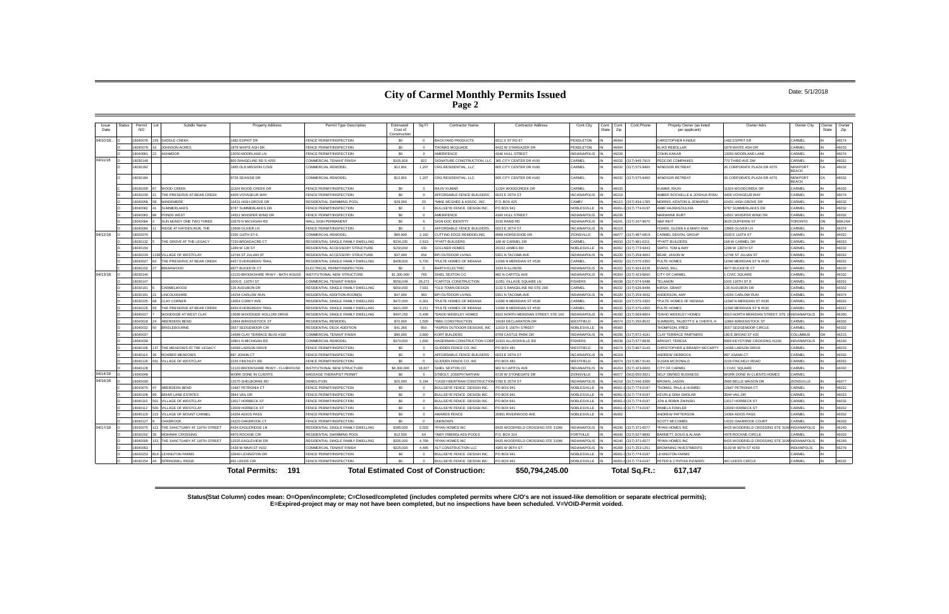#### Date: 5/1/2018

**Status(Stat Column) codes mean: O=Open/incomplete; C=Closed/completed (includes completed permits where C/O's are not issued-like demolition or separate electrical permits); E=Expired-project may or may not have been completed, but no inspections have been scheduled. V=VOID-Permit voided.**

| Issue     | <b>Status</b> | Permit          | Subdiv Name                   | <b>Property Address</b>            | Permit Type Description              | Estimated               | Sq Ft    | <b>Contractor Name</b>                       | <b>Contractor Address</b>          | Cont.City           | Cont. Cont. |              | Cont.Phone             | Propety Owner (as listed             | Owner Adrs                       | Owner City                     | Owner | Owner  |
|-----------|---------------|-----------------|-------------------------------|------------------------------------|--------------------------------------|-------------------------|----------|----------------------------------------------|------------------------------------|---------------------|-------------|--------------|------------------------|--------------------------------------|----------------------------------|--------------------------------|-------|--------|
| Date      |               | <b>NO</b>       |                               |                                    |                                      | Cost of<br>Construction |          |                                              |                                    |                     | State       | Zip          |                        | per applicant)                       |                                  |                                | State | Zip    |
| 04/10/18. |               | 8040078         | SADDLE CREEK                  | 1482 ESPRIT DR                     | <b>ENCE PERMIT/INSPECTION</b>        | \$0                     |          | <b>BACKYARD PRODUCTS</b>                     | 6511 S ST RD 67                    | PENDLETON           |             | 46064        |                        | CHRISTOPHER KINDLE                   | 482 ESPRIT DR                    | CARMEL                         |       | 46074  |
|           |               | 8040079         | JOHNSON ACRES                 | 1879 WHITE ASH DR                  | <b>ENCE PERMIT/INSPECTION</b>        | \$0                     | $\Omega$ | HOMAS MCOLIADE                               | 9422 W STARGAZER DR                | PENDLETON           |             | 46064        |                        | LIAS REBOLLAR                        | 879 WHITE ASH DR                 | CARMEL                         |       | 46033  |
|           |               | 8040081         | <b>ASHMOOR</b>                | 3050 MOORLAND LN                   | ENCE PERMIT/INSPECTION               | \$0                     |          | <b>MERIFENCE</b>                             | 340 HULL STREET                    | <b>NDIANAPOLIS</b>  |             |              |                        | <b>CHIN KAKAR</b>                    | 13050 MOORLAND LANE              | CARMEL                         |       | 16074  |
| 04/11/18  |               | 8030148         |                               | 800 RANGELINE RD S #255            | COMMERCIAL TENANT FINISH             | \$105,918               | 822      | <b>SIGNATURE CONSTRUCTION, LLC</b>           | 385 CITY CENTER DR #100            | CARMEL              |             | <b>CENAN</b> | (317) 945-7915         | <b>EDCOR COMPANIES</b>               | 770 THIRD AVE SW                 | CARMEL                         |       | 46032  |
|           |               | 8030182         |                               | 665 OLD MISSION COVE               | COMMERCIAL REMODEL                   | \$12,901                | 1,207    | CRG RESIDENTIAL, LLC                         | 805 CITY CENTER DR #160            | CARMEL              |             | 46032        | (317) 575-9400         | <b>INDSOR RETREAT</b>                | 26 CORPORATE PLAZA DR #270       | <b>NEWPORT</b><br><b>REACH</b> |       | 16032  |
|           |               | 8030184         |                               | 9728 SEASIDE DR                    | COMMERCIAL REMODEL                   | \$12,901                | 1,207    | CRG RESIDENTIAL, LLC                         | 805 CITY CENTER DR #160            | CARMEL              |             | 46032        | (317) 575-9400         | <b>IINDSOR RETREAT</b>               | 26 CORPORATE PLAZA DR #270       | <b>NEWPORT</b><br><b>BEACH</b> |       | 16032  |
|           |               | 18030200<br>57  | WOOD CREEK                    | 11324 WOOD CREEK DR                | <b>ENCE PERMIT/INSPECTION</b>        | \$0                     | $\Omega$ | RAJIV KUMAR                                  | 11324 WOODCREEK DR                 | CARMEL              |             | 46033        |                        | <b>IMAR RAIN</b>                     | 1324 WOODCREEK DR                | CARMEL                         |       | 46032  |
|           |               | 8030230         | THE PRESERVE AT BEAR CREEK    | 4409 VOYAGEUR WAY                  | <b>ENCE PERMIT/INSPECTION</b>        | \$0                     | $\Omega$ | <b>IFFORDABLE FENCE BUILDERS</b>             | 6023 E 26TH ST                     | <b>INCIANAPOLIS</b> |             | 46219        |                        | AMBER ROCHELLE & JOSHUA RYAN         | 409 VOYAGEUR WAY                 | CARMEL                         |       | 16074  |
|           |               | 8040058         | <b>WINDEMERE</b>              | 10431 HIGH GROVE DR                | RESIDENTIAL SWIMMING POOL            | \$29,000                | 20       | MIKE MCGHEE & ASSOC. INC.                    | P.O. BOX 425                       | CAMBY               |             | 46113        | (317) 834-1785         | <b>MORRIS, KENTON &amp; JENNIFER</b> | 0431 HIGH GROVE DR               | CARMEL                         |       | 16032  |
|           |               | 8040082         | SUMMERLAKES                   | 9787 SUMMERLAKES DR                | FENCE PERMIT/INSPECTION              | \$0                     | $\Omega$ | BULLSEYE FENCE DESIGN INC.                   | <b>PO BOX 941</b>                  | NOBLESVILLE         |             |              | 46061-0 (317) 774-0197 | AMIR HAJRASOULIHA                    | 9787 SUMMERI AKES DR             | CARMEL                         |       | 46032  |
|           |               | 8040083         | PONDS WEST                    | 14501 WHISPER WIND DR              | FENCE PERMIT/INSPECTION              | \$0                     | $\Omega$ | AMERIFENCE                                   | 340 HULL STREET                    | <b>INDIANAPOLIS</b> |             | 46226        |                        | <b>MARIANNE BURT</b>                 | 4501 WHISPER WIND DR             | CARMEL                         |       | 46032  |
|           |               | 8040084         | SUN MUNDY ONE TWO THREE       | 10679 N MICHIGAN RD                | <b>VALL SIGN PERMANENT</b>           | \$0                     | $\sim$   | <b>SIGN DOC IDENTITY</b>                     | 150 RAND RD                        | <b>INDIANAPOLIS</b> |             | 46241        | (317) 247-9670         | <b>1&amp;R REIT</b>                  | 3625 DUFFERIN ST                 | <b>TORONTO</b>                 |       | M3K1N4 |
|           |               | 8040094         | RIDGE AT HAYDEN RUN. THE      | 13969 OLIVER LN                    | FENCE PERMIT/INSPECTION              | \$0                     |          | AFFORDABLE FENCE BUILDERS                    | 6023 E 26TH ST                     | <b>INCIANAPOLIS</b> |             | 46219        |                        | OARD, GLENN A & MARY ANN             | 3969 OLIVER LN                   | CARMEL                         |       | 16074  |
| 04/12/18  |               | 8020070         |                               | 2330 116TH ST E                    | COMMERCIAL REMODEL                   | \$85,900                | 2.182    | CUTTING EDGE REMODELING                      | 3998 HORSESHOE DR                  | <b>ZIONSVILLE</b>   |             | 46077        | (317) 987-0819         | ARMEL DENTAL GROUP                   | 2330 E 116TH ST                  | CARMEL                         |       | 46032  |
|           |               | 8030132         | THE GROVE AT THE LEGACY       | 7230 BROADACRE CT                  | RESIDENTIAL SINGLE FAMILY DWELLING   | \$334,235               | 2,913    | PYATT BUILDERS                               | 168 W CARMEL DR                    | CARMEL              |             | 46033        | (317) 981-0211         | <b>PYATT BUILDERS</b>                | 168 W CARMEL DR                  | CARMEL                         |       | 46033  |
|           |               | 18030154        |                               | 1289 W 136 ST                      | RESIDENTIAL ACCESSORY STRUCTURE      | \$150,000               | 430      | <b>GOLLNER HOMES</b>                         | 20102 JAMES RD                     | NOBLESVILLE         |             | CA0A4        | (317) 773-9343         | SMITH, TOM & AMY                     | 1289 W 136TH ST                  | CARMEL                         |       | 46032  |
|           |               | 8030229         | 38 VILLAGE OF WESTCLAY        | 12746 ST JULIAN ST                 | RESIDENTIAL ACCESSORY STRUCTURE      | \$37,000                | 256      | <b>SPI OUTDOOR LIVING</b>                    | 5351 N TACOMA AVE                  | <b>INDIANAPOLIS</b> |             | 16220        | 317) 259-4062          | EAR, JASON W                         | 12746 ST JULIAN ST               | CARMEL                         |       | 16032  |
|           |               | 8040027         | THE PRESERVE AT BEAR CREEK    | 4457 EVERGREEN TRAI                | RESIDENTIAL SINGLE FAMILY DWELLING   | \$408,000               | 5,720    | PULTE HOMES OF INDIANA                       | 11590 N MERIDIAN ST #530           | CARMEL              |             |              | (317) 575-2350         | ULTE HOMES                           | 11590 MERIDIAN ST N #530         | CARMEI                         |       | 16032  |
|           |               | 8040102         | <b>BRIARWOOD</b>              | 4977 BUCKEYE CT                    | FLECTRICAL PERMIT/INSPECTION         | SO <sub>2</sub>         | $\sim$   | BARTH FI FCTRIC                              | 1934 N II I INOIS                  | INDIANAPOLIS        |             | 46202        | (317) 924-6226         | VANS, BILL                           | 4977 BUCKEYE CT                  | CARMEL                         |       | 46032  |
| 04/13/18  |               | 8030146         |                               | 12120 BROOKSHIRE PKWY - BATH HOUSE | INSTITUTIONAL NEW STRUCTURE          | \$1,300,000             | 765      | HIEL SEXTON CO                               | <b>902 N CAPITOL AVE</b>           | <b>INDIANAPOLIS</b> |             | 16204        | (317) 423-6000         | <b>ITY OF CARMEL</b>                 | <b>CIVIC SQUARE</b>              | CARMEL                         |       | 16032  |
|           |               | 8030147         |                               | 1000 E. 116TH ST                   | COMMERCIAL TENANT FINISH             | \$556,049               | 26.272   | CAPITOL CONSTRUCTION                         | 1051 VILLAGE SQUARE LN             | <b>ISHERS</b>       |             |              | (317) 574-5488         | <b>ELAMON</b>                        | 000 116TH ST E                   | CARMEL                         |       | 16032  |
|           |               | 8030161         | CARMELWOOD                    | 135 AUDUBON DR                     | RESIDENTIAL SINGLE FAMILY DWELLING   | \$650,000               | 7.031    | OLD TOWN DESIGN                              | 132 S RANGELINE RD STE 200         | CARMEL              |             |              | 317) 626-8486          | <b>IRSH, GRANT</b>                   | 135 AUDUBON DR                   | CARMEL                         |       | 16032  |
|           |               | 8030191         | LINCOLNSHIRE                  | 14254 CARLOW RUN                   | RESIDENTIAL ADDITION-ROOM(S)         | \$47,000                | 360      | <b>BPI OUTDOOR LIVING</b>                    | 5351 N TACOMA AVE                  | INDIANAPOLIS        |             | 46220        | (317) 259-4062         | NDERSON, AMY                         | 14254 CARLOW RUN                 | CARMEL                         |       | 46074  |
|           |               | 8030225         | <b>CLAY CORNER</b>            | 13054 COREY AVE                    | RESIDENTIAL SINGLE FAMILY DWELLING   | \$472,000               | 6.301    | PULTE HOMES OF INDIANA                       | 1590 N MERIDIAN ST #530            | CARMEL              |             | 46032        | (317) 575-2350         | PULTE HOMES OF INDIANA               | 1590 N MERIDIAN ST #530          | CARMEL                         |       | 46032  |
|           |               | 8030226         | THE PRESERVE AT BEAR CREEK    | 4456 EVERGREEN TRAIL               | RESIDENTIAL SINGLE FAMILY DWELLING   | \$421,000               | 6.211    | PULTE HOMES OF INDIANA                       | 1590 N MERIDIAN ST #530            | CARMEL              |             | 46032        | (317) 575-2350         | UITE HOMES                           | 1590 MERIDIAN ST N #530          | CARMEL                         |       | 46032  |
|           |               | 8040017         | WOODSIDE AT WEST CLAY         | 13696 WOODSIDE HOLLOW DRIVE        | RESIDENTIAL SINGLE FAMILY DWELLING   | \$497.250               | 5.458    | DAVID WEEKLEY HOMES                          | 310 NORTH MERIDIAN STREET, STE 100 | <b>INDIANAPOLIS</b> |             | 16260        | 317) 669-8604          | DAVID WEEKLEY HOMES                  | 310 NORTH MERIDIAN STREET, STE   | <b>INDIANAPOLIS</b>            |       | 16260  |
|           |               | 8040018         | ABERDEEN BEND                 | 12864 BIRKENSTOCK ST               | RESIDENTIAL REMODEL                  | \$70,000                | 1.500    | <b>BBG CONSTRUCTION</b>                      | 15034 DECLARATION DR               | WESTFIELD           |             | $A$ 607 $A$  | 317) 250-8522          | UMNERS, TALBOTT E & CHERYL H         | 2864 BIRKENSTOCK ST              | CARMEL                         |       | 46032  |
|           |               | 8040032         | <b>BRIDLEBOURNE</b>           | 3557 SEDGEMOOR CIR                 | RESIDENTIAL DECK ADDITION            | \$41,366                | 950      | ASPEN OUTDOOR DESIGNS. INC                   | 11010 E 156TH STREET               | NOBLESVILLE         |             | 46060        |                        | HOMPSON, FRED                        | 3557 SEDGEMOOR CIRCLE            | CARMEL                         |       | 46032  |
|           |               | 18040037        |                               | 14598 CLAY TERRACE BLVD #160       | COMMERCIAL TENANT FINISH             | \$90,000                | 3.800    | <b>KORT BUILDERS</b>                         | 3709 CASTLE PARK DR                | <b>INDIANAPOLIS</b> |             | 46256        | (317) 872-4181         | CLAY TERRACE PARTNERS                | 80 E BROAD ST #20                | <b>COLUMBUS</b>                |       | 46215  |
|           |               | 8040039         |                               | 10801 N MICHIGAN RD                | COMMERCIAL REMODEL                   | \$370,000               | 1.600    | <b>HAGERMAN CONSTRUCTION CORP</b>            | 10315 ALLISONVILLE RD              | <b>FISHERS</b>      |             | 16038        | (317) 577-6836         | <b>RIGHT, TERESA</b>                 | 8900 KEYSTONE CROSSING #1150     | <b>INDIANAPOLIS</b>            |       | 16240  |
|           |               | 8040106         | THE MEADOWS AT THE LEGACY     | 14068 LARSON DRIVE                 | FENCE PERMIT/INSPECTION              | \$0                     |          | LIDDEN FENCE CO, INC                         | PO BOX 481                         | WESTFIELD           |             | 1607         | 317) 867-5140          | HRISTOPHER & BRANDY MCCARTY          | 4068 LARSON DRIVE                | CARMEL                         |       | 16033  |
|           |               | 8040114         | ROHRER MEADOWS                | 897 JOANN CT                       | FENCE PERMIT/INSPECTION              | \$0                     | $\Omega$ | AFFORDABLE FENCE BUILDERS                    | 6023 E 26TH ST                     | <b>INCIANAPOLIS</b> |             | 46219        |                        | ANDREW HERROCK                       | 897 JOANN CT                     | CARMEL                         |       | 46032  |
|           |               | 18040126        | <b>VILLAGE OF WESTCLAY</b>    | 2226 FINCHLEY RD                   | FENCE PERMIT/INSPECTION              | \$0                     |          | <b>GLIDDEN FENCE CO. INC</b>                 | PO BOX 481                         | WESTFIELD           |             | 46074        | (317) 867-5140         | <b>USAN MCDONALD</b>                 | 2226 FINCHELY ROAD               | CARMEL                         |       | 46032  |
|           |               | 8040128         |                               | 12120 BROOKSHIRE PKWY - CLUBHOUSE  | <b>INSTITUTIONAL NEW STRUCTURE</b>   | \$8,300,000             | 18,827   | SHIEL SEXTON CO                              | 902 N CAPITOL AVE                  | <b>INDIANAPOLIS</b> |             | 46204        | (317) 423-6000         | <b>ITY OF CARMEL</b>                 | <b>CIVIC SQUARE</b>              | CARMEL                         |       | 46032  |
| 04/14/18  |               | 4040048         |                               | WORK DONE IN CLIENTS               | <b>MASSAGE THERAPIST PERMIT</b>      | \$0                     |          | TIBOLT, JOSEPH NATHAN                        | 6726 W STONEGATE DR                | ZIONSVILLE          |             |              | (563) 650-2621         | <b>ELF OWNED BUSINESS</b>            | VORK DONE IN CLIENTS HOMES       | CARMEL                         |       |        |
| 04/16/18  |               | 8040030         |                               | 12075 SHELBORNE RD                 | <b>DEMOLITION</b>                    | \$25,000                | 5,194    | CASEY-BERTRAM CONSTRUCTION 5780 E 25TH ST    |                                    | <b>INDIANAPOLIS</b> |             | 46218        | (317) 546-3366         | <b>ROWN, JASON</b>                   | 2990 BELLE MAISON DR             | ZIONSVILLE                     |       | 46077  |
|           |               | 8040075         | ABERDEEN BEND                 | 12847 PETRONIA CT                  | FENCE PERMIT/INSPECTION              | \$0                     |          | <b>BULLSEYE FENCE DESIGN INC.</b>            | PO BOX 941                         | NOBLESVILLE         |             | 46061        | (317) 774-0197         | HOMAS, PAUL & HUMREI                 | 12847 PETRONIA CT                | CARMEL                         |       | 46032  |
|           |               | 8010108         | <b>BRIAR LANE ESTATES</b>     | 3844 VAIL DR                       | <b>ENCE PERMIT/INSPECTION</b>        | \$0                     | $\sim$   | BULLSEYE FENCE DESIGN INC.                   | PO BOX 941                         | NOBLESVILLE         |             |              | 46061-0 (317) 774-0197 | <b>KEVIN &amp; GINA SMOLAR</b>       | 3844 VAIL DR                     | CARMEL                         |       | 46033  |
|           |               | 8040110         | <b>VILLAGE OF WESTCLAY</b>    | 13017 HORBECK ST                   | <b>FENCE PERMIT/INSPECTION</b>       | \$0                     | $\Omega$ | <b>BULLSEYE FENCE DESIGN INC.</b>            | PO BOX 941                         | NOBLESVILLE         |             |              | 46061-0 (317) 774-0197 | <b>JON &amp; ROBIN ZWINSK</b>        | 3017 HORBECK ST                  | CARMEL                         |       | 16032  |
|           |               | 8040112         | <b>VILLAGE OF WESTCLAY</b>    | 3009 HORBECK ST                    | FENCE PERMIT/INSPECTION              | \$0                     |          | <b>BULLSEYE FENCE DESIGN INC</b>             | PO BOX 941                         | NOBLESVILLE         |             | 46061        | (317) 774-0197         | AMELA FOWLER                         | 3009 HORBECK ST                  | CARMEL                         |       | 16032  |
|           |               | 8040120         | VILLAGE OF MOUNT CARMEL       | 14364 ADIOS PASS                   | FENCE PERMIT/INSPECTION              | \$0                     | $\Omega$ | <b>AWARDS FENCE</b>                          | 0951 RIVERWOOD AVE                 | NOBLESVILLE         |             | 46062        |                        | ANDREW PATTERSON                     | 4364 ADIOS PASS                  | CARMEL                         |       | 46032  |
|           |               | 8040127         | <b>OAKBROOK</b>               | 14220 OAKBROOK CT                  | FENCE PERMIT/INSPECTION              | \$0                     |          | <b>JNKNOWN</b>                               |                                    |                     |             |              |                        | <b>SCOTT MCCOMBS</b>                 | 14220 OAKBROOK COURT             | CARMEL                         |       | 16033  |
| 04/17/18  |               | 8030075         | THE SANCTUARY AT 116TH STREET | 4434 EAGLERIDGE LN                 | RESIDENTIAL SINGLE FAMILY DWELLING   | \$385,000               | 5,503    | RYAN HOMES INC                               | 8425 WOODFIELD CROSSING STE 310W   | <b>INDIANAPOLIS</b> |             | 46240        | (317) 371-6577         | *RYAN HOMES INC                      | 3425 WOODFIELD CROSSING STE 310  | <b>INDIANAPOLIS</b>            |       | 16240  |
|           |               | 8030202         | <b>MOHAWK CROSSING</b>        | 4976 ROCKNE CIR                    | <b>RESIDENTIAL SWIMMING POO</b>      | \$12,500                | 64       | <b>INDY FIBERGLASS POOLS</b>                 | P.O. BOX 314                       | <b>FORTVILLE</b>    |             | 16040        | 317) 627-8882          | ARNETT, DOUG & ALANA                 | <b>4976 ROCKNE CIRCLE</b>        | CARMEL                         |       | 16033  |
|           |               | 8040009         | THE SANCTUARY AT 116TH STREET | 12025 EAGLEVIEW DR                 | RESIDENTIAL SINGLE FAMILY DWELLING   | \$335,000               | 4.769    | RYAN HOMES INC.                              | 8425 WOODFIELD CROSSING STE 310W   | <b>INDIANAPOLIS</b> |             | 46240        | (317) 371-6577         | *RYAN HOMES INC                      | 8425 WOODFIELD CROSSING STE 310\ | <b>INDIANAPOLIS</b>            |       | 46240  |
|           |               | 8040063         |                               | 1438 W MAIN ST #102                | COMMERCIAL TENANT FINISH             | \$325,000               | 4.485    | LT CONSTRUCTION LLC                          | 1365 W 96TH ST                     | <b>INDIANAPOLIS</b> |             | 46268        | 317) 253-1251          | ROWNING INVESTMENTS                  | 100 W 96TH ST #250               | <b>INDIANPOLIS</b>             |       | 46278  |
|           |               | <b>E2104015</b> | BLK LEXINGTON FARMS           | 10640 LEXINGTON DR                 | <b><i>ENCE PERMIT/INSPECTION</i></b> | \$በ                     |          | <b>BULLSEYE FENCE DESIGN INC.</b>            | PO BOX 941                         | NOBLESVILLE         |             |              | 46061-0 (317) 774-0197 | <b>FXINGTON FARMS</b>                |                                  | CARMEL                         |       |        |
|           |               | 8040154         | SPRINGMILL RIDGE              | 491 LEEDS CIR                      | <b>ENCE PERMIT/INSPECTION</b>        | . ፍስ                    |          | BULLSEYE FENCE DESIGN INC.                   | PO BOX 941                         | NOBLESVILLE         |             |              | 46061-0 (317) 774-0197 | <b>ETER &amp; CYNTHIA PIZARRC</b>    | 491 LEEDS CIRCLE                 | CARMEL                         |       | 46032  |
|           |               |                 |                               |                                    |                                      |                         |          |                                              |                                    |                     |             |              |                        |                                      |                                  |                                |       |        |
|           |               |                 |                               | <b>Total Permits: 191</b>          |                                      |                         |          | <b>Total Estimated Cost of Construction:</b> | \$50,794,245.00                    |                     |             |              | Total Sq.Ft.:          | 617.147                              |                                  |                                |       |        |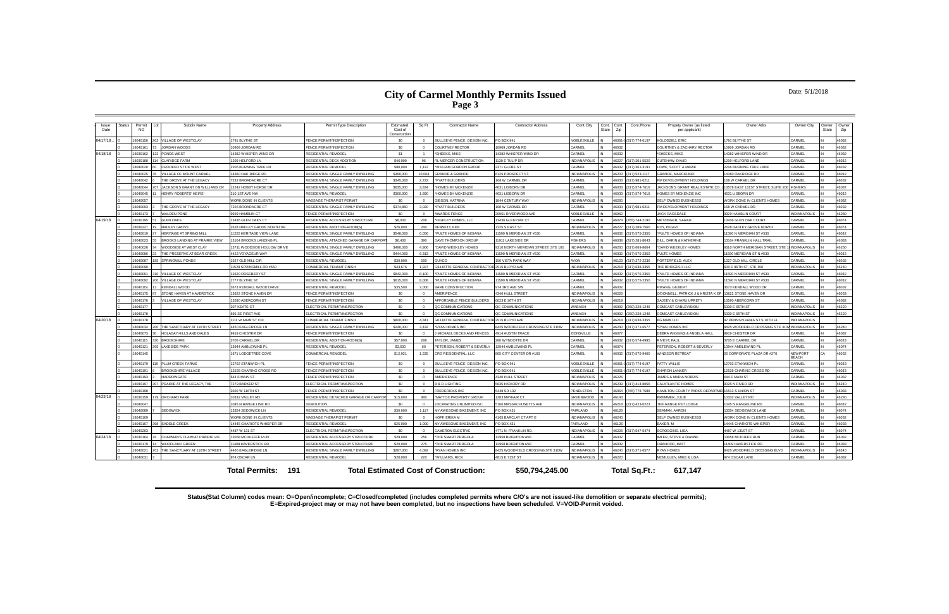#### Date: 5/1/2018

**Status(Stat Column) codes mean: O=Open/incomplete; C=Closed/completed (includes completed permits where C/O's are not issued-like demolition or separate electrical permits); E=Expired-project may or may not have been completed, but no inspections have been scheduled. V=VOID-Permit voided.**

| Issue<br>Date | <b>Status</b> | Subdiv Name<br>Permit<br>NO.                     | <b>Property Address</b>     | Permit Type Description               | Estimated<br>Cost of<br>Construction | Sq Ft          | <b>Contractor Name</b>                       | <b>Contractor Address</b>           | Cont.City           | Cont.<br>State | Cont.Phone<br>Cont.<br>Zip    | Propety Owner (as listed<br>per applicant)     | Owner Adrs                                 | Owner City                     | Owner<br>State | Owner<br>Zip |
|---------------|---------------|--------------------------------------------------|-----------------------------|---------------------------------------|--------------------------------------|----------------|----------------------------------------------|-------------------------------------|---------------------|----------------|-------------------------------|------------------------------------------------|--------------------------------------------|--------------------------------|----------------|--------------|
| 04/17/18.     |               | VILLAGE OF WESTCLAY<br>8040156                   | 1791 BLYTHE ST              | <b>FENCE PERMIT/INSPECTION</b>        | \$0                                  | $\Omega$       | BULLSEYE FENCE DESIGN INC.                   | PO BOX 941                          | <b>VOBLESVILLE</b>  |                | 46061-0 (317) 774-0197        | <b>COLODZIEJ, ERIC</b>                         | 1791 BLYTHE ST                             | CARMEL                         |                | 46032        |
|               |               | 8040161<br>IORDAN WOODS                          | 10909 JORDAN RD             | <b>FENCE PERMIT/INSPECTION</b>        | \$0                                  | $\Omega$       | COURTNEY RECTOR                              | 0909 JORDAN RD                      | ARMEL               |                | 16032                         | COURTNEY & ZACHARY RECTOR                      | 0909 JORDAN RD                             | CARMEL                         |                | 16032        |
| 04/18/18      |               | 030162<br>ONDS WEST                              | 4382 WHISPER WIND DR        | RESIDENTIAL REMODEL                   | \$1                                  |                | SHEEKS, MIKE                                 | 4382 WHISPER WIND DR                | <b>ARMEL</b>        |                |                               | SHEEKS, MIKE                                   | 4382 WHISPER WIND DR                       | CARMEL                         |                | 16032        |
|               |               | LARIDGE FARM<br>8030188                          | 1209 HELFORD LN             | <b>RESIDENTIAL DECK ADDITION</b>      | \$46,000                             | 96             | RL MERCER CONSTRUCTION                       | 1130 E TULIP DR                     | INDIANAPOLIS        |                | 16227<br>(317) 201-5520       | UTSHAW, DAVID                                  | 1209 HELFORD LANE                          | CARMEL                         |                | 46032        |
|               |               | 8040020<br><b>CROOKED STICK WEST</b>             | 2206 BURNING TREE LN        | <b>RESIDENTIAL REMODEL</b>            | \$80,000                             | 1.112          | WILLIAM GORDON GROUP                         | 2371 GLEBE ST                       | <b>ARMEL</b>        |                | (317) 361-3191<br>16032       | OWE, SCOTT & MARIE                             | 2206 BURNING TREE LANE                     | CARMEL                         |                | 16032        |
|               |               | <b>ILLAGE OF MOUNT CARMEL</b><br>8040025         | 14360 OAK RIDGE RD          | RESIDENTIAL SINGLE FAMILY DWELLING    | \$360,000                            | 10.004         | <b>GRANDE &amp; GRANDE</b>                   | 125 PROSPECT ST.                    | NDIANAPOLIS         |                | (317) 523-1117<br>16203       | <b>SRANDE, MARCELINO</b>                       | 4360 OAKRIDGE RD                           | CARMEL                         |                | 46032        |
|               |               | 8040042<br><b>HE GROVE AT THE LEGACY</b>         | 7232 BROADACRE CT           | RESIDENTIAL SINGLE FAMILY DWELLING    | \$345,000                            | 2.722          | *PYATT BUILDERS                              | 168 W CARMEL DR                     | CARMEL              |                | (317) 981-0211<br>6033        | M DEVELOPMENT HOLDINGS                         | 168 W CARMEL DR                            | CARMEL                         |                | 16032        |
|               |               | <b>IACKSON'S GRANT ON WILLIAMS CR</b><br>8040044 | 12242 HOBBY HORSE DR        | RESIDENTIAL SINGLE FAMILY DWELLING    | \$635,000                            | 3.834          | HOMES BY MCKENZIE                            | 4631 LISBORN DR                     | CARMEL              |                | (317) 574-7616<br>16033       | ACKSON'S GRANT REAL ESTATE CO.                 | 13578 EAST 131ST STREET, SUITE 200 FISHERS |                                |                | 46037        |
|               |               | HENRY ROBERTS' HEIRS'<br>8040045                 | 210 1ST AVE NW              | <b>RESIDENTIAL REMODEL</b>            | \$300,000                            | 1.890          | HOMES BY MCKENZIE                            | 4631 LISBORN DR                     | <b>ARMEL</b>        |                | <b>22031</b><br>317) 574-7616 | <b>IOMES BY MCKENZIE INC</b>                   | 4631 LISBORN DR                            | CARMEL                         |                | 46032        |
|               |               | 8040057                                          | WORK DONE IN CLIENTS        | MASSAGE THERAPIST PERMIT              | \$0                                  | $\Omega$       | <b>GIBSON, KATRINA</b>                       | 844 CENTURY WAY                     | <b>INDIANAPOLIS</b> |                | 16260                         | SELF OWNED BUSINESSS                           | <b><i>NORK DONE IN CLIENTS HOMES</i></b>   | CARMEL                         |                | 46032        |
|               |               | 8040093<br><b>HE GROVE AT THE LEGACY</b>         | 7226 BROADACRE CT           | RESIDENTIAL SINGLE FAMILY DWELLING    | \$374,860                            | 3,020          | PYATT BUILDERS                               | 68 W CARMEL DR                      | <b>ARMEL</b>        |                | 317) 981-0211<br>6033         | M DEVELOPMENT HOLDINGS                         | 168 W CARMEL DR                            | CARMEL                         |                | 16032        |
|               |               | 040173<br><b>WALDEN POND</b>                     | 9929 HAMBLIN CT             | FENCE PERMIT/INSPECTION               | \$0                                  |                | <b>WARDS FENCE</b>                           | 20951 RIVERWOOD AVE                 | NOBLESVILLE         |                | 16062                         | <b>ACK RAGSDALE</b>                            | 9929 HAMBLIN COURT                         | <b>INDIANAPOLIS</b>            |                | 16280        |
| 04/19/18      |               | 030195<br><b>I FN OAKS</b>                       | 13436 GLEN OAKS CT          | RESIDENTIAL ACCESSORY STRUCTURE       | \$8,000                              | 208            | HIGHLEY HOMES. LLC                           | 13436 GLEN OAK CT                   | ARMFI               |                | (765) 744-2190<br>16074       | METZINGER, SARAH                               | 13436 GLEN OAK COURT                       | CARMEL                         |                | 46074        |
|               |               | <b>HADLEY GROVE</b><br>8030227                   | 2628 HADLEY GROVE NORTH DR  | RESIDENTIAL ADDITION-ROOM(S)          | \$26,000                             | 240            | BENNETT, KEN                                 | 7225 S EAST ST                      | <b>NDIANAPOLIS</b>  |                | (317) 289-7560<br>16227       | <b>HOY, PEGGY</b>                              | 2628 HADLEY GROVE NORTH                    | CARMEL                         |                | 46074        |
|               |               | 8040019<br><b>HERITAGE AT SPRING MILL</b>        | 11222 HERITAGE VIEW LANE    | RESIDENTIAL SINGLE FAMILY DWELLING    | \$548,000                            | 6.056          | PULTE HOMES OF INDIANA                       | 1590 N MERIDIAN ST #530             | <b>ARMEL</b>        |                | 317) 575-2350<br>\$6032       | PULTE HOMES OF INDIANA                         | 1590 N MERIDIAN ST #530                    | CARMEL                         |                | 16032        |
|               |               | 3040023<br>ROOKS LANDING AT PRAIRIE VIEW         | 13104 BROOKS LANDING PI     | RESIDENTIAL ATTACHED GARAGE OR CARPOR | \$6,400                              | 390            | DAVE THOMPSON GROUP                          | 1911 LAKESIDE DR                    | <b>ISHERS</b>       |                | 317) 281-8043                 | LL, DARIN & KATHERINE                          | 13104 FRANKLIN HALL TRAIL                  | CARMEL                         |                | 16033        |
|               |               | VOODSIDE AT WEST CLAY<br>8040028                 | 13711 WOODSIDE HOLLOW DRIVE | RESIDENTIAL SINGLE FAMILY DWELLING    | \$490,000                            | 4.906          | DAVID WEEKLEY HOMES                          | 9310 NORTH MERIDIAN STREET, STE 100 | NDIANAPOLIS         |                | 317) 669-8604<br>03601        | DAVID WEEKLEY HOMES                            | 9310 NORTH MERIDIAN STREET STE             | <b>INDIANAPOLIS</b>            |                | 46260        |
|               |               | 8040086<br>HE PRESERVE AT BEAR CREEK             | 4423 VOYAGEUR WAY           | RESIDENTIAL SINGLE FAMILY DWELLING    | \$444.000                            | 6.313          | PULTE HOMES OF INDIANA                       | 1590 N MERIDIAN ST #530             | <b>ARMEL</b>        |                | 317) 575-2350                 | <b>ULTE HOMES</b>                              | 1590 MERIDIAN ST N #530                    | CARMEL                         |                | 46032        |
|               |               | 8040087<br>SPRINGMILL PONDS                      | 1527 OLD MILL CIR           | RESIDENTIAL REMODEL                   | \$30,000                             | 200            | GUYCO                                        | 150 VISTA PARK WAY                  | <b>VON</b>          |                | (317) 272-2236<br>16123       | ORTERFIELD, ALEX                               | 1327 OLD MILL CIRCLE                       | CARMEL                         |                | 46032        |
|               |               | 8040090                                          | 11529 SPRINGMILL RD #650    | COMMERCIAL TENANT FINISH              | \$43,676                             | 1,927          | GILLIATTE GENERAL CONTRACTOR                 | 2515 BLOYD AVE                      | NDIANAPOLIS         |                | (317) 638-3355<br>8218        | HE BRIDGES II LLC                              | 600 E 96TH ST, STE 150                     | INDIANAPOLIS                   |                | 46240        |
|               |               | VILLAGE OF WESTCLAY<br>8040091                   | 12620 ROSEBERY ST           | RESIDENTIAL SINGLE FAMILY DWELLING    | \$842,000                            | 8.100          | *PULTE HOMES OF INDIANA                      | 1590 N MERIDIAN ST #530             | CARMEL              |                | (317) 575-2350<br>16032       | PULTE HOMES OF INDIANA                         | 11590 N MERIDIAN ST #530                   | CARMEL                         |                | 46032        |
|               |               | <b>VILLAGE OF WESTCLAY</b><br>8040092            | 1777 BLYTHE ST              | RESIDENTIAL SINGLE FAMILY DWELLING    | \$615,000                            | 8.008          | PULTE HOMES OF INDIANA                       | 1590 N MERIDIAN ST #530             | CARMEL              |                | 317) 575-2350<br>36032        | PULTE HOMES OF INDIANA                         | 1590 N MERIDIAN ST #530                    | CARMEL                         |                | 46032        |
|               |               | 8040119<br><b>KENDALL WOOD</b>                   | 3673 KENDALL WOOD DRIVE     | RESIDENTIAL REMODEL                   | \$35,500                             | 2,000          | <b>BARE CONSTRUCTION</b>                     | 974 3RD AVE SW                      | <b>CARMEL</b>       |                | 16032                         | <b>IWANG, GILBERT</b>                          | 3673 KENDALL WOOD DR                       | CARMEL                         |                | 46032        |
|               |               | STONE HAVEN AT HAVERSTICK<br>8040175             | 3622 STONE HAVEN DR         | FENCE PERMIT/INSPECTION               | \$0                                  | $\Omega$       | <b>MERIFENCE</b>                             | 4340 HULL STREET                    | <b>NDIANAPOLIS</b>  |                | 6226                          | <b>J'DONNELL, PATRICK J &amp; KRISTA K EP</b>  | 13622 STONE HAVEN DR                       | CARMEL                         |                | 46033        |
|               |               | <b>ILLAGE OF WESTCLAY</b><br>8040176             | 13590 ABERCORN ST           | FENCE PERMIT/INSPECTION               | \$0                                  | $\Omega$       | AFFORDABLE FENCE BUILDERS                    | 6023 E 26TH ST                      | <b>NCIANAPOLIS</b>  |                | 46219                         | <b>SAJEEV &amp; CHARU UPRET</b>                | 13590 ABERCORN ST                          | CARMEL                         |                | 46032        |
|               |               | 8040177                                          | 207 KEATS CT                | ELECTRICAL PERMIT/INSPECTION          | \$0                                  | $\Omega$       | QC COMMUNICATIONS                            | QC COMMUNICATIONS                   | VABASH              |                | (260) 228-1246<br>16992       | COMCAST CABLEVISION                            | 5330 E 65TH ST                             | <b>INDIANAPOLIS</b>            |                | 46220        |
|               |               | 8040178                                          | 695 SE FIRST AVE            | ELECTRICAL PERMIT/INSPECTION          | \$0                                  | $\overline{0}$ | QC COMMUNICATIONS                            | QC COMMUNICATIONS                   | <b>ABASH</b>        |                | (260) 228-1246<br>6992        | OMCAST CABLEVISION                             | 5330 E 65TH ST                             | <b>INDIANAPOLIS</b>            |                | 46220        |
| 04/20/18      |               | 8030178                                          | 1111 W MAIN ST #10          | COMMERCIAL TENANT FINISH              | \$800,000                            | 4841           | <b>GULLIATTE GENERAL CONTRACTOR</b>          | 2515 BLOYD AVE                      | NDIANAPOLIS         |                | 317) 638-3355<br>16218        | G MAIN LLC                                     | 47 PENNSYI VANIA ST S 10TH FI              | INDIANAPOLIS                   |                |              |
|               |               | 3040034<br>THE SANCTUARY AT 116TH STREET         | 4450 EAGLERIDGE LN          | RESIDENTIAL SINGLE FAMILY DWELLING    | \$240,000                            | 3.432          | <b>RYAN HOMES INC</b>                        | 3425 WOODFIELD CROSSING STE 310W    | <b>NDIANAPOLIS</b>  |                | 317) 371-6577                 | <b>RYAN HOMES INC</b>                          | 8425 WOODFIELD CROSSING STE 310            | <b>INDIANAPOLIS</b>            |                | 46240        |
|               |               | 8040073<br>HOLADAY HILLS AND DALES               | 9919 CHESTER DR             | <b>FENCE PERMIT/INSPECTION</b>        | \$0                                  | $\Omega$       | MICHAEL DECKS AND FENCES                     | 4914 AUSTIN TRACE                   | ZIONSVILLE          |                | 16077                         | <b>JEBRA WIGGINS &amp; ANGELA HALL</b>         | 9919 CHESTER DR                            | CARMEL                         |                | 46032        |
|               |               | 8040115<br><b>BROOKSHIRE</b>                     | 3705 CARMEL DR              | RESIDENTIAL ADDITION-ROOM(S)          | \$57,000                             | 288            | TAYLOR, JAMES                                | 80 WYNDOTTE DR                      | <b>ARMEL</b>        |                | (317) 574-4995<br>6032        | <b>IVEST, PAUL</b>                             | 3705 E CARMEL DR                           | CARMEL                         |                | 46033        |
|               |               | AKESIDE PARK<br>8040121                          | 3944 AMBLEWIND PL           | <b>RESIDENTIAL REMODEL</b>            | \$3,500                              | 60             | PETERSON, ROBERT & BEVERLY                   | 13944 AMBLEWIND PL                  | <b>CARMEL</b>       |                | 6074                          | ETERSON, ROBERT & BEVERLY                      | 3944 AMRI FWIND PI                         | CARMEL                         |                | 46074        |
|               |               | 8040145                                          | <b>1671 LODGETREE COVE</b>  | COMMERCIAL REMODEL                    | \$12,921                             | 1,535          | CRG RESIDENTIAL, LLC                         | 605 CITY CENTER DR #160             | CARMEL              |                | (317) 575-9400<br>16032       | <b>IINDSOR RETREAT</b>                         | 26 CORPORATE PLAZA DR #270                 | <b>NEWPORT</b><br><b>REACH</b> |                | 16032        |
|               |               | 8040179<br>PLUM CREEK FARMS                      | 12702 STANWICH PL           | FENCE PERMIT/INSPECTION               | \$0                                  | $\Omega$       | BULLSEYE FENCE DESIGN INC.                   | PO BOX 941                          | NOBLESVILLE         |                | 16061-0 (317) 774-0197        | <b>PATTY WILLIS</b>                            | 12702 STANWICH PL                          | CARMEL                         |                | 46033        |
|               |               | 8040191<br><b>BROOKSHIRE VILLAGE</b>             | 12528 CHARING CROSS RD      | FENCE PERMIT/INSPECTION               | \$0                                  | $\Omega$       | BULLSEYE FENCE DESIGN INC.                   | PO BOX 941                          | <b>VOBLESVILLE</b>  |                | (317) 774-0197<br>6061-0      | <b>HARON LANKER</b>                            | 12528 CHARING CROSS RD                     | CARMEL                         |                | 46033        |
|               |               | <b>HARROWGATE</b><br>8040193                     | 644 E MAIN ST               | FENCE PERMIT/INSPECTION               | \$0                                  | $\Omega$       | MERIFENCE                                    | 4340 HULL STREET                    | NDIANAPOLIS         |                | 16226                         | AMES & MARIA NORRIS                            | 644 E MAIN ST                              | CARMEL                         |                | 16032        |
|               |               | 8040197<br>PRAIRIE AT THE LEGACY. THE            | 7279 BARKER ST              | ELECTRICAL PERMIT/INSPECTION          | \$0                                  | $\Omega$       | <b>B &amp; D LIGHTING</b>                    | 5635 HICKORY RD                     | <b>INDIANAPOLIS</b> |                | (317) 414-8056<br>92394       | ALATI ANTIC HOMES                              | 9025 N RIVER RD                            | <b>INDIANAPOLIS</b>            |                | 46240        |
|               |               | 8040198                                          | 2020 W 116TH ST             | FENCE PERMIT/INSPECTION               | \$0                                  | $\Omega$       | <b>REDERICKS INC</b>                         | 5448 SR 132                         | <b>ENDLETON</b>     |                | 46064<br>(765) 778-7588       | AMILTON COUNTY PARKS DEPARTME 15513 S UNION ST |                                            | CARMEL                         |                | 16033        |
| 04/23/18      |               | ORCHARD PARK<br>8030159                          | 10332 VALLEY RD             | RESIDENTIAL DETACHED GARAGE OR CARPOR | \$15,000                             | 480            | *MATTOX PROPERTY GROUP                       | 283 MAYFAIR CT                      | <b>GREENWOOD</b>    |                | 16143                         | REMMER. JULIE                                  | 10332 VALLEY RD                            | INDIANAPOLIS                   |                | 46280        |
|               |               | 8040047                                          | 1045 N RANGE LINE RD        | <b>DEMOLITION</b>                     | \$0                                  | $\Omega$       | <b>XCAVATING UNLIMITED INC</b>               | <b>766 MASSACHUSETTS AVE</b>        | NDIANAPOLIS         |                | (317) 423-0223<br>16218       | THE RANGE PET LODGE                            | 045 N RANGELINE RD                         | CARMEL                         |                | 46032        |
|               |               | 8040089<br><b>SEDGWICK</b>                       | 13354 SEDGWICK LN           | <b>RESIDENTIAL REMODEL</b>            | \$30,000                             | 1.117          | MY AWESOME BASEMENT. INC.                    | PO BOX 431                          | AIRI AND            |                | 16126                         | <b>FAMAN, AARON</b>                            | 13354 SEDGEWICK LANE                       | CARMEL                         |                | 46074        |
|               |               | 8040109                                          | WORK DONE IN CLIENTS        | MASSAGE THERAPIST PERMIT              | \$0                                  | $\Omega$       | HOFF. FRIKA M                                | 165 BARCLAY CT APT E                | <b>NDIANAPOLIS</b>  |                | 16240                         | SELF OWNED BUSINESSS                           | WORK DONE IN CLIENTS HOMES                 | CARMEL                         |                | 46032        |
|               |               | 8040157<br>SADDLE CREEK                          | 14445 CHARIOTS WHISPER DR   | <b>RESIDENTIAL REMODEL</b>            | \$25,000                             | 1,000          | MY AWESOME BASEMENT. INC                     | O BOX 431                           | <b>FAIRLAND</b>     |                | 6126                          | AKER, M                                        | 14445 CHARIOTS WHISPER                     | CARMEI                         |                | 46033        |
|               |               | 8040203                                          | 4487 W 131 ST               | ELECTRICAL PERMIT/INSPECTION          | \$0                                  | $\Omega$       | <b>CAMERON ELECTRIC</b>                      | 4771 N. FRANKLIN RD                 | <b>NDIANAPOLIS</b>  |                | 16226<br>(317) 547-5474       | <b>SCROGGINS, LISA</b>                         | 4487 W 131ST ST                            | CARMEL                         |                | 16074        |
| 04/24/18      |               | 8030164<br>CHAPMAN'S CLAIM AT PRAIRIE VIE        | 13058 MCDUFFEE RUN          | RESIDENTIAL ACCESSORY STRUCTURE       | \$29,000                             | 256            | *THE SMART PERGOLA                           | 12958 BRIGHTON AVE                  | <b>A PMEL</b>       |                | 16032                         | MLER, STEVE & DIANNE                           | 13058 MCDUFEE RUN                          | CARMEL                         |                | 16032        |
|               |               | 8030179<br>WOODLAND GREEN                        | 11409 HAVERSTICK RD         | RESIDENTIAL ACCESSORY STRUCTURE       | \$20,000                             | 275            | THE SMART PERGOLA                            | 12958 BRIGHTON AVE                  | <b>ARMEL</b>        |                | 2031                          | ORAHOOD, MATT                                  | 11409 HAVERSTICK RD                        | CARMEL                         |                | 46033        |
|               |               | HE SANCTUARY AT 116TH STREET<br>8040021          | 4466 EAGLERIDGE LN          | RESIDENTIAL SINGLE FAMILY DWELLING    | \$287,000                            | 4,092          | RYAN HOMES INC                               | 8425 WOODFIELD CROSSING STE 310W    | NDIANAPOLIS         |                | 46240 (317) 371-6577          | YAN HOMES                                      | 8425 WOODFIELD CROSSING BLVD               | <b>INDIANAPOLIS</b>            |                | 16240        |
|               |               | 8040031                                          | 974 OSCAR LN                | <b>RESIDENTIAL REMODEL</b>            | \$20,000                             | 220            | *WILLIAMS, RICK                              | 4815 E 71ST ST                      | NDIANAPOLIS         |                | 16220                         | <b>ICMULLEN, MIKE &amp; LISA</b>               | 974 OSCAR LANE                             | CARMEL                         |                | 46032        |
|               |               |                                                  | <b>Total Permits: 191</b>   |                                       |                                      |                | <b>Total Estimated Cost of Construction:</b> | \$50,794,245.00                     |                     |                | Total Sq.Ft.:                 | 617.147                                        |                                            |                                |                |              |